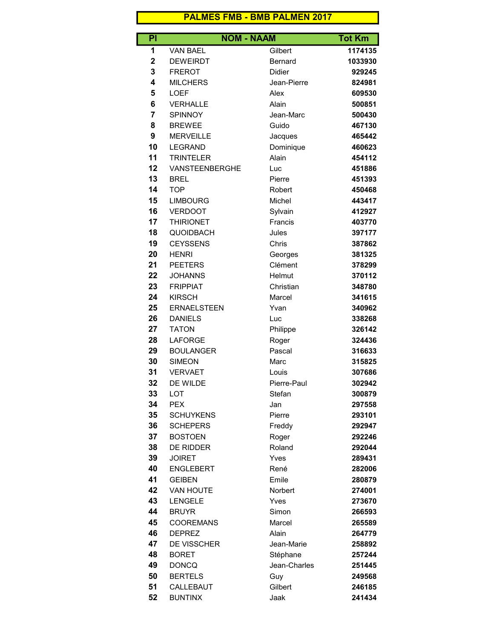## PALMES FMB - BMB PALMEN 2017

| PI             |                       | <b>NOM - NAAM</b> | <b>Tot Km</b> |
|----------------|-----------------------|-------------------|---------------|
| 1              | <b>VAN BAEL</b>       | Gilbert           | 1174135       |
| $\mathbf 2$    | <b>DEWEIRDT</b>       | <b>Bernard</b>    | 1033930       |
| 3              | <b>FREROT</b>         | <b>Didier</b>     | 929245        |
| 4              | <b>MILCHERS</b>       | Jean-Pierre       | 824981        |
| 5              | <b>LOEF</b>           | Alex              | 609530        |
| 6              | <b>VERHALLE</b>       | Alain             | 500851        |
| $\overline{7}$ | SPINNOY               | Jean-Marc         | 500430        |
| 8              | <b>BREWEE</b>         | Guido             | 467130        |
| 9              | <b>MERVEILLE</b>      | Jacques           | 465442        |
| 10             | <b>LEGRAND</b>        | Dominique         | 460623        |
| 11             | <b>TRINTELER</b>      | Alain             | 454112        |
| 12             | <b>VANSTEENBERGHE</b> | Luc               | 451886        |
| 13             | <b>BREL</b>           | Pierre            | 451393        |
| 14             | <b>TOP</b>            | Robert            | 450468        |
| 15             | <b>LIMBOURG</b>       | Michel            | 443417        |
| 16             | <b>VERDOOT</b>        | Sylvain           | 412927        |
| 17             | <b>THIRIONET</b>      | Francis           | 403770        |
| 18             | <b>QUOIDBACH</b>      | Jules             | 397177        |
| 19             | <b>CEYSSENS</b>       | Chris             | 387862        |
| 20             | <b>HENRI</b>          | Georges           | 381325        |
| 21             | <b>PEETERS</b>        | Clément           | 378299        |
| 22             | <b>JOHANNS</b>        | Helmut            | 370112        |
| 23             | <b>FRIPPIAT</b>       | Christian         | 348780        |
| 24             | <b>KIRSCH</b>         | Marcel            | 341615        |
| 25             | <b>ERNAELSTEEN</b>    | Yvan              | 340962        |
| 26             | <b>DANIELS</b>        | Luc               | 338268        |
| 27             | <b>TATON</b>          | Philippe          | 326142        |
| 28             | <b>LAFORGE</b>        | Roger             | 324436        |
| 29             | <b>BOULANGER</b>      | Pascal            | 316633        |
| 30             | <b>SIMEON</b>         | Marc              | 315825        |
| 31             | <b>VERVAET</b>        | Louis             | 307686        |
| 32             | DE WILDE              | Pierre-Paul       | 302942        |
| 33             | <b>LOT</b>            | Stefan            | 300879        |
| 34             | <b>PEX</b>            | Jan               | 297558        |
| 35             | <b>SCHUYKENS</b>      | Pierre            | 293101        |
| 36             | <b>SCHEPERS</b>       | Freddy            | 292947        |
|                |                       |                   |               |
| 37             | <b>BOSTOEN</b>        | Roger             | 292246        |
| 38             | DE RIDDER             | Roland            | 292044        |
| 39             | <b>JOIRET</b>         | Yves              | 289431        |
| 40             | <b>ENGLEBERT</b>      | René              | 282006        |
| 41             | <b>GEIBEN</b>         | Emile             | 280879        |
| 42             | <b>VAN HOUTE</b>      | <b>Norbert</b>    | 274001        |
| 43             | LENGELE               | Yves              | 273670        |
| 44             | <b>BRUYR</b>          | Simon             | 266593        |
| 45             | <b>COOREMANS</b>      | Marcel            | 265589        |
| 46             | <b>DEPREZ</b>         | Alain             | 264779        |
| 47             | <b>DE VISSCHER</b>    | Jean-Marie        | 258892        |
| 48             | <b>BORET</b>          | Stéphane          | 257244        |
| 49             | <b>DONCQ</b>          | Jean-Charles      | 251445        |
| 50             | <b>BERTELS</b>        | Guy               | 249568        |
| 51             | CALLEBAUT             | Gilbert           | 246185        |
| 52             | <b>BUNTINX</b>        | Jaak              | 241434        |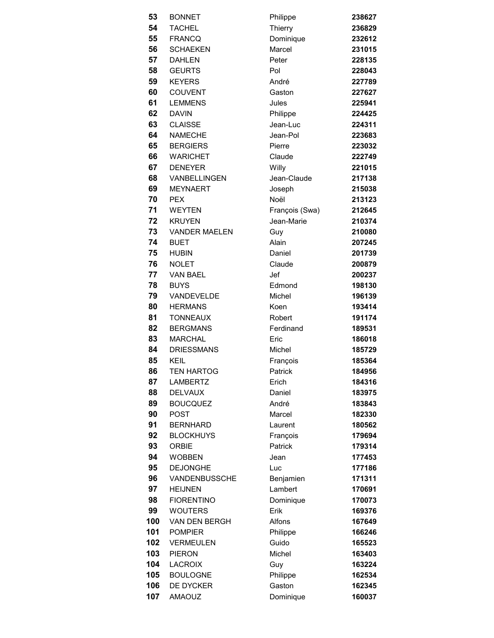| 53  | <b>BONNET</b>        | Philippe       | 238627 |
|-----|----------------------|----------------|--------|
| 54  | <b>TACHEL</b>        | Thierry        | 236829 |
| 55  | <b>FRANCQ</b>        | Dominique      | 232612 |
| 56  | <b>SCHAEKEN</b>      | Marcel         | 231015 |
| 57  | <b>DAHLEN</b>        | Peter          | 228135 |
| 58  | <b>GEURTS</b>        | Pol            | 228043 |
| 59  | <b>KEYERS</b>        | André          | 227789 |
| 60  | <b>COUVENT</b>       | Gaston         | 227627 |
| 61  | <b>LEMMENS</b>       | Jules          | 225941 |
| 62  | <b>DAVIN</b>         | Philippe       | 224425 |
| 63  | <b>CLAISSE</b>       | Jean-Luc       | 224311 |
| 64  | <b>NAMECHE</b>       | Jean-Pol       | 223683 |
| 65  | <b>BERGIERS</b>      | Pierre         | 223032 |
| 66  | <b>WARICHET</b>      | Claude         | 222749 |
| 67  | <b>DENEYER</b>       | Willy          | 221015 |
| 68  | VANBELLINGEN         | Jean-Claude    | 217138 |
| 69  | <b>MEYNAERT</b>      | Joseph         | 215038 |
| 70  | <b>PEX</b>           | Noël           | 213123 |
| 71  | <b>WEYTEN</b>        | François (Swa) | 212645 |
|     | 72 KRUYEN            | Jean-Marie     | 210374 |
| 73  | <b>VANDER MAELEN</b> | Guy            | 210080 |
| 74  | <b>BUET</b>          | Alain          | 207245 |
| 75  | <b>HUBIN</b>         | Daniel         | 201739 |
| 76  | <b>NOLET</b>         | Claude         | 200879 |
| 77  | <b>VAN BAEL</b>      | Jef            | 200237 |
| 78  | <b>BUYS</b>          | Edmond         | 198130 |
| 79  | VANDEVELDE           | Michel         | 196139 |
| 80  | <b>HERMANS</b>       | Koen           | 193414 |
| 81  | <b>TONNEAUX</b>      | Robert         | 191174 |
| 82  | <b>BERGMANS</b>      | Ferdinand      | 189531 |
| 83  | <b>MARCHAL</b>       | Eric           | 186018 |
| 84  | <b>DRIESSMANS</b>    | Michel         | 185729 |
| 85  | <b>KEIL</b>          | François       | 185364 |
| 86  | TEN HARTOG           | Patrick        | 184956 |
| 87  | LAMBERTZ             | Erich          | 184316 |
| 88  | <b>DELVAUX</b>       | Daniel         | 183975 |
| 89  | <b>BOUCQUEZ</b>      | André          | 183843 |
| 90  | <b>POST</b>          | Marcel         | 182330 |
| 91  | <b>BERNHARD</b>      | Laurent        | 180562 |
| 92  | <b>BLOCKHUYS</b>     | François       | 179694 |
| 93  | <b>ORBIE</b>         | Patrick        | 179314 |
| 94  | <b>WOBBEN</b>        | Jean           | 177453 |
| 95  | <b>DEJONGHE</b>      | Luc            | 177186 |
| 96  | VANDENBUSSCHE        | Benjamien      | 171311 |
| 97  | <b>HEIJNEN</b>       | Lambert        | 170691 |
| 98  | <b>FIORENTINO</b>    | Dominique      | 170073 |
| 99  | <b>WOUTERS</b>       | Erik           | 169376 |
| 100 | <b>VAN DEN BERGH</b> | Alfons         | 167649 |
| 101 | <b>POMPIER</b>       | Philippe       | 166246 |
| 102 | <b>VERMEULEN</b>     | Guido          | 165523 |
| 103 | <b>PIERON</b>        | Michel         | 163403 |
| 104 | <b>LACROIX</b>       | Guy            | 163224 |
| 105 | <b>BOULOGNE</b>      | Philippe       | 162534 |
| 106 | DE DYCKER            | Gaston         | 162345 |
| 107 | <b>AMAOUZ</b>        | Dominique      | 160037 |

| Philippe       | 238627 |
|----------------|--------|
| Thierry        | 236829 |
| Dominique      | 232612 |
| Marcel         | 231015 |
| Peter          | 228135 |
| Pol            | 228043 |
| André          | 227789 |
| Gaston         | 227627 |
| Jules          | 225941 |
| Philippe       | 224425 |
| Jean-Luc       | 224311 |
| Jean-Pol       | 223683 |
| Pierre         | 223032 |
| Claude         | 222749 |
| Willy          | 221015 |
| Jean-Claude    | 217138 |
| Joseph         | 215038 |
| Noël           | 213123 |
| François (Swa) | 212645 |
| Jean-Marie     | 210374 |
| Guy            | 210080 |
| Alain          | 207245 |
| Daniel         | 201739 |
| Claude         | 200879 |
| Jef            | 200237 |
| Edmond         | 198130 |
| Michel         | 196139 |
| Koen           | 193414 |
| Robert         | 191174 |
| Ferdinand      | 189531 |
| Eric           | 186018 |
| Michel         | 185729 |
| François       | 185364 |
| Patrick        | 184956 |
| Erich          | 184316 |
| Daniel         | 183975 |
| André          | 183843 |
| Marcel         | 182330 |
| Laurent        | 180562 |
|                | 179694 |
| François       | 179314 |
| Patrick        |        |
| Jean           | 177453 |
| Luc            | 177186 |
| Benjamien      | 171311 |
| Lambert        | 170691 |
| Dominique      | 170073 |
| Erik           | 169376 |
| Alfons         | 167649 |
| Philippe       | 166246 |
| Guido          | 165523 |
| Michel         | 163403 |
| Guy            | 163224 |
| Philippe       | 162534 |
| Gaston         | 162345 |
| Dominique      | 160037 |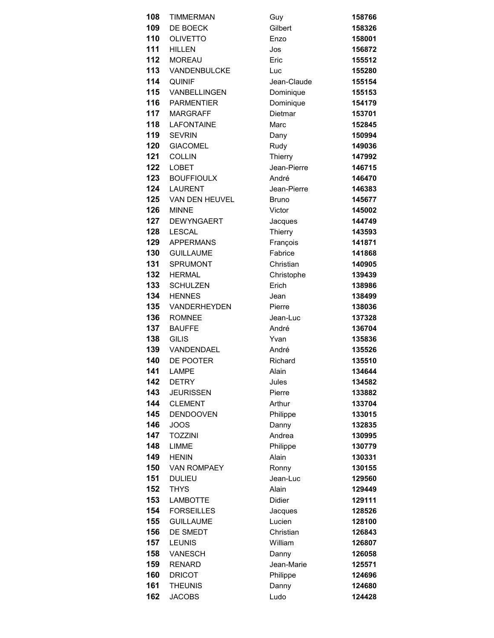| 108 | <b>TIMMERMAN</b>   | Guy           | 158766 |
|-----|--------------------|---------------|--------|
| 109 | DE BOECK           | Gilbert       | 158326 |
| 110 | <b>OLIVETTO</b>    | Enzo          | 158001 |
| 111 | <b>HILLEN</b>      | Jos           | 156872 |
| 112 | <b>MOREAU</b>      | Eric          | 155512 |
| 113 | VANDENBULCKE       | Luc           | 155280 |
| 114 | <b>QUINIF</b>      | Jean-Claude   | 155154 |
| 115 | VANBELLINGEN       | Dominique     | 155153 |
| 116 | <b>PARMENTIER</b>  | Dominique     | 154179 |
| 117 | <b>MARGRAFF</b>    | Dietmar       | 153701 |
| 118 | <b>LAFONTAINE</b>  | Marc          | 152845 |
| 119 | <b>SEVRIN</b>      | Dany          | 150994 |
| 120 | <b>GIACOMEL</b>    | Rudy          | 149036 |
| 121 | <b>COLLIN</b>      | Thierry       | 147992 |
| 122 | <b>LOBET</b>       | Jean-Pierre   | 146715 |
| 123 | <b>BOUFFIOULX</b>  | André         | 146470 |
| 124 | LAURENT            | Jean-Pierre   | 146383 |
| 125 | VAN DEN HEUVEL     | <b>Bruno</b>  | 145677 |
| 126 | <b>MINNE</b>       | Victor        | 145002 |
| 127 | <b>DEWYNGAERT</b>  | Jacques       | 144749 |
| 128 | <b>LESCAL</b>      | Thierry       | 143593 |
| 129 | <b>APPERMANS</b>   | François      | 141871 |
| 130 | <b>GUILLAUME</b>   | Fabrice       | 141868 |
| 131 | <b>SPRUMONT</b>    | Christian     | 140905 |
| 132 | <b>HERMAL</b>      | Christophe    | 139439 |
| 133 | <b>SCHULZEN</b>    | Erich         | 138986 |
| 134 | <b>HENNES</b>      | Jean          | 138499 |
| 135 | VANDERHEYDEN       | Pierre        | 138036 |
| 136 | <b>ROMNEE</b>      | Jean-Luc      | 137328 |
| 137 | <b>BAUFFE</b>      | André         | 136704 |
| 138 | <b>GILIS</b>       | Yvan          | 135836 |
| 139 | VANDENDAEL         | André         | 135526 |
| 140 | DE POOTER          | Richard       | 135510 |
| 141 | LAMPE              | Alain         | 134644 |
| 142 | <b>DETRY</b>       | Jules         | 134582 |
| 143 | <b>JEURISSEN</b>   | Pierre        | 133882 |
| 144 | <b>CLEMENT</b>     | Arthur        | 133704 |
| 145 | <b>DENDOOVEN</b>   | Philippe      | 133015 |
| 146 | <b>JOOS</b>        | Danny         | 132835 |
| 147 | <b>TOZZINI</b>     | Andrea        | 130995 |
| 148 | <b>LIMME</b>       | Philippe      | 130779 |
| 149 | <b>HENIN</b>       | Alain         | 130331 |
| 150 | <b>VAN ROMPAEY</b> | Ronny         | 130155 |
| 151 | <b>DULIEU</b>      | Jean-Luc      | 129560 |
| 152 | <b>THYS</b>        | Alain         | 129449 |
| 153 | <b>LAMBOTTE</b>    | <b>Didier</b> | 129111 |
| 154 | <b>FORSEILLES</b>  | Jacques       | 128526 |
| 155 | <b>GUILLAUME</b>   | Lucien        | 128100 |
| 156 | DE SMEDT           | Christian     | 126843 |
| 157 | <b>LEUNIS</b>      | William       | 126807 |
| 158 | <b>VANESCH</b>     | Danny         | 126058 |
| 159 | <b>RENARD</b>      | Jean-Marie    | 125571 |
| 160 | <b>DRICOT</b>      | Philippe      | 124696 |
| 161 | <b>THEUNIS</b>     | Danny         | 124680 |
| 162 | <b>JACOBS</b>      | Ludo          | 124428 |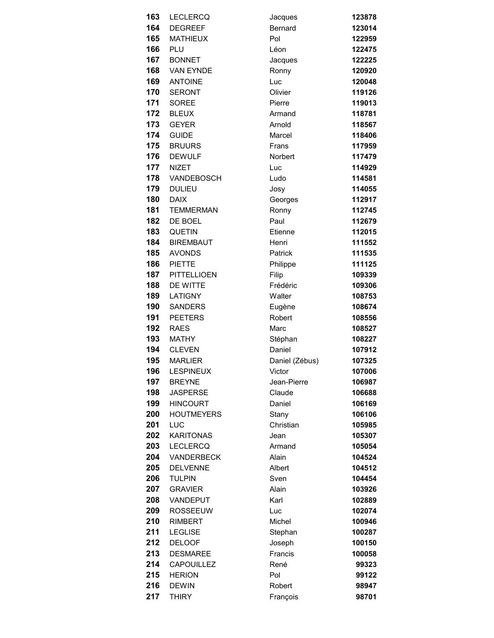| 163 | <b>LECLERCQ</b>    | Jacques        | 123878 |
|-----|--------------------|----------------|--------|
| 164 | <b>DEGREEF</b>     | Bernard        | 123014 |
| 165 | <b>MATHIEUX</b>    | Pol            | 122959 |
| 166 | PLU                | Léon           | 122475 |
| 167 | <b>BONNET</b>      | Jacques        | 122225 |
| 168 | <b>VAN EYNDE</b>   | Ronny          | 120920 |
| 169 | <b>ANTOINE</b>     | Luc            | 120048 |
| 170 | <b>SERONT</b>      | Olivier        | 119126 |
| 171 | <b>SOREE</b>       | Pierre         | 119013 |
| 172 | <b>BLEUX</b>       | Armand         | 118781 |
| 173 | <b>GEYER</b>       | Arnold         | 118567 |
| 174 | <b>GUIDE</b>       | Marcel         | 118406 |
| 175 | <b>BRUURS</b>      | Frans          | 117959 |
| 176 | <b>DEWULF</b>      | <b>Norbert</b> | 117479 |
| 177 | <b>NIZET</b>       | Luc            | 114929 |
| 178 | VANDEBOSCH         | Ludo           | 114581 |
| 179 | <b>DULIEU</b>      | Josy           | 114055 |
| 180 | <b>DAIX</b>        | Georges        | 112917 |
| 181 | <b>TEMMERMAN</b>   | Ronny          | 112745 |
| 182 | DE BOEL            | Paul           | 112679 |
| 183 | <b>QUETIN</b>      | Etienne        | 112015 |
| 184 | <b>BIREMBAUT</b>   | Henri          | 111552 |
| 185 | <b>AVONDS</b>      | Patrick        | 111535 |
| 186 | <b>PIETTE</b>      | Philippe       | 111125 |
| 187 | <b>PITTELLIOEN</b> | Filip          | 109339 |
| 188 | DE WITTE           | Frédéric       | 109306 |
| 189 | LATIGNY            | Walter         | 108753 |
| 190 | <b>SANDERS</b>     | Eugène         | 108674 |
| 191 | <b>PEETERS</b>     | Robert         | 108556 |
| 192 | <b>RAES</b>        | Marc           | 108527 |
| 193 | <b>MATHY</b>       | Stéphan        | 108227 |
| 194 | <b>CLEVEN</b>      | Daniel         | 107912 |
| 195 | <b>MARLIER</b>     | Daniel (Zébus) | 107325 |
| 196 | <b>LESPINEUX</b>   | Victor         | 107006 |
| 197 | <b>BREYNE</b>      | Jean-Pierre    | 106987 |
| 198 | <b>JASPERSE</b>    | Claude         | 106688 |
| 199 | <b>HINCOURT</b>    | Daniel         | 106169 |
| 200 | <b>HOUTMEYERS</b>  | Stany          | 106106 |
| 201 | LUC                | Christian      | 105985 |
| 202 | <b>KARITONAS</b>   | Jean           | 105307 |
| 203 | <b>LECLERCQ</b>    | Armand         | 105054 |
| 204 | <b>VANDERBECK</b>  | Alain          | 104524 |
| 205 | <b>DELVENNE</b>    | Albert         | 104512 |
| 206 | <b>TULPIN</b>      | Sven           | 104454 |
| 207 | <b>GRAVIER</b>     | Alain          | 103926 |
| 208 | VANDEPUT           | Karl           | 102889 |
| 209 | <b>ROSSEEUW</b>    | Luc            | 102074 |
| 210 | <b>RIMBERT</b>     | Michel         | 100946 |
| 211 | <b>LEGLISE</b>     | Stephan        | 100287 |
| 212 | <b>DELOOF</b>      | Joseph         | 100150 |
| 213 | <b>DESMAREE</b>    | Francis        | 100058 |
| 214 | <b>CAPOUILLEZ</b>  | René           | 99323  |
| 215 | <b>HERION</b>      | Pol            | 99122  |
| 216 | <b>DEWIN</b>       | Robert         | 98947  |
| 217 | <b>THIRY</b>       | François       | 98701  |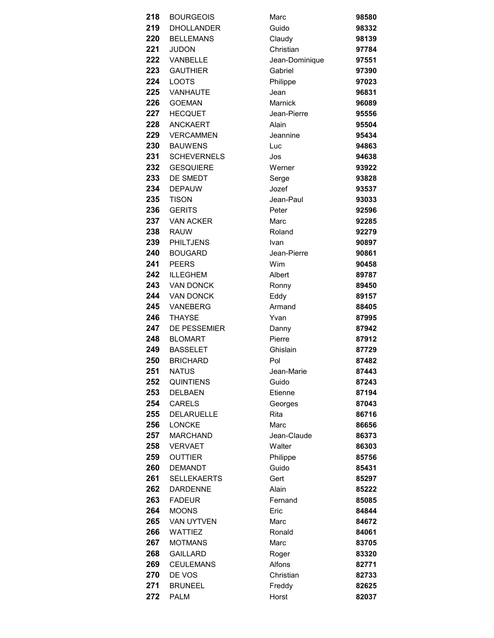| 218        | <b>BOURGEOIS</b>                | Marc            | 98580          |
|------------|---------------------------------|-----------------|----------------|
| 219        | <b>DHOLLANDER</b>               | Guido           | 98332          |
| 220        | <b>BELLEMANS</b>                | Claudy          | 98139          |
| 221        | <b>JUDON</b>                    | Christian       | 97784          |
| 222        | VANBELLE                        | Jean-Dominique  | 97551          |
| 223        | <b>GAUTHIER</b>                 | Gabriel         | 97390          |
| 224        | <b>LOOTS</b>                    | Philippe        | 97023          |
| 225        | <b>VANHAUTE</b>                 | Jean            | 96831          |
| 226        | <b>GOEMAN</b>                   | Marnick         | 96089          |
| 227        | <b>HECQUET</b>                  | Jean-Pierre     | 95556          |
| 228        | ANCKAERT                        | Alain           | 95504          |
| 229        | <b>VERCAMMEN</b>                | Jeannine        | 95434          |
| 230        | <b>BAUWENS</b>                  | Luc             | 94863          |
| 231        | <b>SCHEVERNELS</b>              | Jos             | 94638          |
| 232        | <b>GESQUIERE</b>                | Werner          | 93922          |
| 233        | DE SMEDT                        | Serge           | 93828          |
| 234        | <b>DEPAUW</b>                   | Jozef           | 93537          |
| 235        | <b>TISON</b>                    | Jean-Paul       | 93033          |
| 236        | <b>GERITS</b>                   | Peter           | 92596          |
| 237        | <b>VAN ACKER</b>                | Marc            | 92285          |
| 238        | <b>RAUW</b>                     | Roland          | 92279          |
| 239        | <b>PHILTJENS</b>                | <b>Ivan</b>     | 90897          |
| 240        | <b>BOUGARD</b>                  | Jean-Pierre     | 90861          |
| 241        | <b>PEERS</b>                    | Wim             | 90458          |
| 242        | <b>ILLEGHEM</b>                 | Albert          | 89787          |
| 243        | <b>VAN DONCK</b>                | Ronny           | 89450          |
| 244        | <b>VAN DONCK</b>                | Eddy            | 89157          |
| 245        | VANEBERG                        | Armand          | 88405          |
| 246        | <b>THAYSE</b>                   | Yvan            | 87995          |
| 247        | DE PESSEMIER                    | Danny           | 87942          |
| 248        | <b>BLOMART</b>                  | Pierre          | 87912          |
| 249        | <b>BASSELET</b>                 | Ghislain        | 87729          |
| 250        | <b>BRICHARD</b>                 | Pol             | 87482          |
| 251        | <b>NATUS</b>                    | Jean-Marie      | 87443          |
| 252        | <b>QUINTIENS</b>                | Guido           | 87243          |
| 253<br>254 | <b>DELBAEN</b><br><b>CARELS</b> | Etienne         | 87194          |
| 255        | <b>DELARUELLE</b>               | Georges<br>Rita | 87043<br>86716 |
| 256        | <b>LONCKE</b>                   | Marc            | 86656          |
| 257        | <b>MARCHAND</b>                 | Jean-Claude     | 86373          |
| 258        | <b>VERVAET</b>                  | Walter          | 86303          |
| 259        | <b>OUTTIER</b>                  | Philippe        | 85756          |
| 260        | <b>DEMANDT</b>                  | Guido           | 85431          |
| 261        | <b>SELLEKAERTS</b>              | Gert            | 85297          |
| 262        | <b>DARDENNE</b>                 | Alain           | 85222          |
| 263        | <b>FADEUR</b>                   | Fernand         | 85085          |
| 264        | <b>MOONS</b>                    | Eric            | 84844          |
| 265        | <b>VAN UYTVEN</b>               | Marc            | 84672          |
| 266        | <b>WATTIEZ</b>                  | Ronald          | 84061          |
| 267        | <b>MOTMANS</b>                  | Marc            | 83705          |
| 268        | <b>GAILLARD</b>                 | Roger           | 83320          |
| 269        | <b>CEULEMANS</b>                | Alfons          | 82771          |
| 270        | DE VOS                          | Christian       | 82733          |
| 271        | <b>BRUNEEL</b>                  | Freddy          | 82625          |
| 272        | <b>PALM</b>                     | Horst           | 82037          |
|            |                                 |                 |                |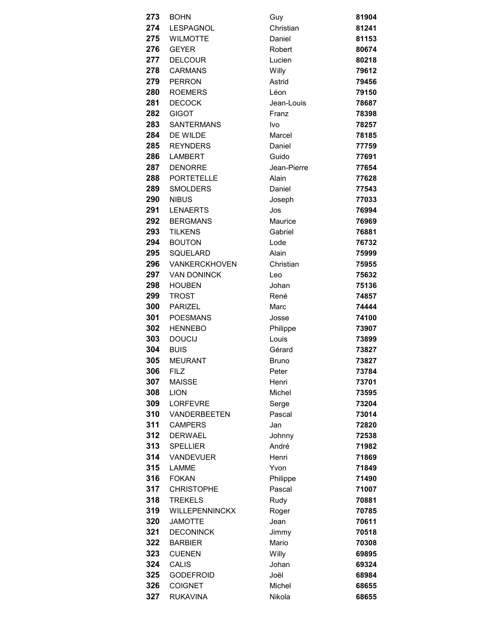| 273 | <b>BOHN</b>          | Guy          | 81904 |
|-----|----------------------|--------------|-------|
| 274 | LESPAGNOL            | Christian    | 81241 |
| 275 | <b>WILMOTTE</b>      | Daniel       | 81153 |
| 276 | <b>GEYER</b>         | Robert       | 80674 |
| 277 | <b>DELCOUR</b>       | Lucien       | 80218 |
| 278 | <b>CARMANS</b>       | Willy        | 79612 |
| 279 | PERRON               | Astrid       | 79456 |
| 280 | <b>ROEMERS</b>       | Léon         | 79150 |
| 281 | <b>DECOCK</b>        | Jean-Louis   | 78687 |
| 282 | <b>GIGOT</b>         | Franz        | 78398 |
| 283 | <b>SANTERMANS</b>    | Ivo          | 78257 |
| 284 | DE WILDE             | Marcel       | 78185 |
| 285 | <b>REYNDERS</b>      | Daniel       | 77759 |
| 286 | <b>LAMBERT</b>       | Guido        | 77691 |
| 287 | <b>DENORRE</b>       | Jean-Pierre  | 77654 |
| 288 | PORTETELLE           | Alain        | 77628 |
| 289 | <b>SMOLDERS</b>      | Daniel       | 77543 |
| 290 | <b>NIBUS</b>         | Joseph       | 77033 |
| 291 | <b>LENAERTS</b>      | Jos          | 76994 |
| 292 | <b>BERGMANS</b>      | Maurice      | 76969 |
| 293 | <b>TILKENS</b>       | Gabriel      | 76881 |
| 294 | <b>BOUTON</b>        | Lode         | 76732 |
| 295 | <b>SQUELARD</b>      | Alain        | 75999 |
| 296 | <b>VANKERCKHOVEN</b> | Christian    | 75955 |
| 297 | <b>VAN DONINCK</b>   | Leo          | 75632 |
| 298 | <b>HOUBEN</b>        | Johan        | 75136 |
| 299 | <b>TROST</b>         | René         | 74857 |
| 300 | <b>PARIZEL</b>       | Marc         | 74444 |
| 301 | <b>POESMANS</b>      | Josse        | 74100 |
| 302 | <b>HENNEBO</b>       | Philippe     | 73907 |
| 303 | <b>DOUCIJ</b>        | Louis        | 73899 |
| 304 | <b>BUIS</b>          | Gérard       | 73827 |
| 305 | <b>MEURANT</b>       | <b>Bruno</b> | 73827 |
| 306 | FIL Z                | Peter        | 73784 |
| 307 | <b>MAISSE</b>        | Henri        | 73701 |
| 308 | <b>LION</b>          | Michel       | 73595 |
| 309 | <b>LORFEVRE</b>      | Serge        | 73204 |
| 310 | VANDERBEETEN         | Pascal       | 73014 |
| 311 | <b>CAMPERS</b>       | Jan          | 72820 |
| 312 | <b>DERWAEL</b>       | Johnny       | 72538 |
| 313 | <b>SPELLIER</b>      | André        | 71982 |
| 314 | <b>VANDEVUER</b>     | Henri        | 71869 |
| 315 | <b>LAMME</b>         | Yvon         | 71849 |
| 316 | <b>FOKAN</b>         | Philippe     | 71490 |
| 317 | <b>CHRISTOPHE</b>    | Pascal       | 71007 |
| 318 | <b>TREKELS</b>       | Rudy         | 70881 |
| 319 | WILLEPENNINCKX       | Roger        | 70785 |
| 320 | <b>JAMOTTE</b>       | Jean         | 70611 |
| 321 | <b>DECONINCK</b>     | Jimmy        | 70518 |
| 322 | <b>BARBIER</b>       | Mario        | 70308 |
| 323 | <b>CUENEN</b>        | Willy        | 69895 |
| 324 | CALIS                | Johan        | 69324 |
| 325 | <b>GODEFROID</b>     | Joël         | 68984 |
| 326 | <b>COIGNET</b>       | Michel       | 68655 |
| 327 | <b>RUKAVINA</b>      | Nikola       | 68655 |
|     |                      |              |       |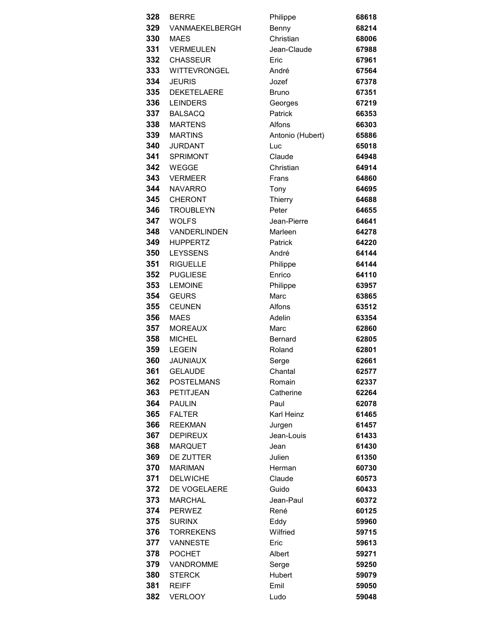| 328 | <b>BERRE</b>        | Philippe         | 68618 |
|-----|---------------------|------------------|-------|
| 329 | VANMAEKELBERGH      | Benny            | 68214 |
| 330 | <b>MAES</b>         | Christian        | 68006 |
| 331 | <b>VERMEULEN</b>    | Jean-Claude      | 67988 |
| 332 | <b>CHASSEUR</b>     | Eric             | 67961 |
| 333 | <b>WITTEVRONGEL</b> | André            | 67564 |
| 334 | <b>JEURIS</b>       | Jozef            | 67378 |
| 335 | <b>DEKETELAERE</b>  | <b>Bruno</b>     | 67351 |
| 336 | <b>LEINDERS</b>     | Georges          | 67219 |
| 337 | <b>BALSACQ</b>      | Patrick          | 66353 |
| 338 | <b>MARTENS</b>      | Alfons           | 66303 |
| 339 | <b>MARTINS</b>      | Antonio (Hubert) | 65886 |
| 340 | <b>JURDANT</b>      | Luc              | 65018 |
| 341 | <b>SPRIMONT</b>     | Claude           | 64948 |
| 342 | <b>WEGGE</b>        | Christian        | 64914 |
| 343 | <b>VERMEER</b>      | Frans            | 64860 |
| 344 | <b>NAVARRO</b>      | Tony             | 64695 |
| 345 | <b>CHERONT</b>      | Thierry          | 64688 |
| 346 | <b>TROUBLEYN</b>    | Peter            | 64655 |
| 347 | <b>WOLFS</b>        | Jean-Pierre      | 64641 |
| 348 | VANDERLINDEN        | Marleen          | 64278 |
| 349 | <b>HUPPERTZ</b>     | Patrick          | 64220 |
| 350 | <b>LEYSSENS</b>     | André            | 64144 |
| 351 | <b>RIGUELLE</b>     | Philippe         | 64144 |
| 352 | <b>PUGLIESE</b>     | Enrico           | 64110 |
| 353 | <b>LEMOINE</b>      | Philippe         | 63957 |
| 354 | <b>GEURS</b>        | Marc             | 63865 |
| 355 | <b>CEUNEN</b>       | Alfons           | 63512 |
| 356 | <b>MAES</b>         | Adelin           | 63354 |
| 357 | <b>MOREAUX</b>      | Marc             | 62860 |
| 358 | <b>MICHEL</b>       | <b>Bernard</b>   | 62805 |
| 359 | <b>LEGEIN</b>       | Roland           | 62801 |
| 360 | <b>JAUNIAUX</b>     | Serge            | 62661 |
| 361 | <b>GELAUDE</b>      | Chantal          | 62577 |
| 362 | <b>POSTELMANS</b>   | Romain           | 62337 |
| 363 | PETITJEAN           | Catherine        | 62264 |
| 364 | <b>PAULIN</b>       | Paul             | 62078 |
| 365 | <b>FALTER</b>       | Karl Heinz       | 61465 |
| 366 | <b>REEKMAN</b>      | Jurgen           | 61457 |
| 367 | <b>DEPIREUX</b>     | Jean-Louis       | 61433 |
| 368 | <b>MARQUET</b>      | Jean             | 61430 |
| 369 | DE ZUTTER           | Julien           | 61350 |
| 370 | <b>MARIMAN</b>      | Herman           | 60730 |
| 371 | <b>DELWICHE</b>     | Claude           | 60573 |
| 372 | DE VOGELAERE        | Guido            | 60433 |
| 373 | <b>MARCHAL</b>      | Jean-Paul        | 60372 |
| 374 | <b>PERWEZ</b>       | René             | 60125 |
| 375 | <b>SURINX</b>       | Eddy             | 59960 |
| 376 | <b>TORREKENS</b>    | Wilfried         | 59715 |
| 377 | VANNESTE            | Eric             | 59613 |
| 378 | <b>POCHET</b>       | Albert           | 59271 |
| 379 | VANDROMME           | Serge            | 59250 |
| 380 | <b>STERCK</b>       | Hubert           | 59079 |
| 381 | <b>REIFF</b>        | Emil             | 59050 |
| 382 | <b>VERLOOY</b>      | Ludo             | 59048 |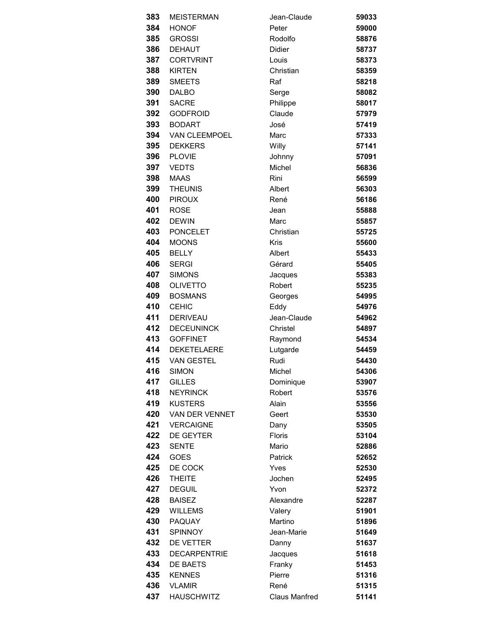| 383        | <b>MEISTERMAN</b>                 | Jean-Claude          | 59033          |
|------------|-----------------------------------|----------------------|----------------|
| 384        | <b>HONOF</b>                      | Peter                | 59000          |
| 385        | <b>GROSSI</b>                     | Rodolfo              | 58876          |
| 386        | <b>DEHAUT</b>                     | <b>Didier</b>        | 58737          |
| 387        | <b>CORTVRINT</b>                  | Louis                | 58373          |
| 388        | <b>KIRTEN</b>                     | Christian            | 58359          |
| 389        | <b>SMEETS</b>                     | Raf                  | 58218          |
| 390        | <b>DALBO</b>                      | Serge                | 58082          |
| 391        | <b>SACRE</b>                      | Philippe             | 58017          |
| 392        | <b>GODFROID</b>                   | Claude               | 57979          |
| 393        | <b>BODART</b>                     | José                 | 57419          |
| 394        | VAN CLEEMPOEL                     | Marc                 | 57333          |
| 395        | <b>DEKKERS</b>                    | Willy                | 57141          |
| 396        | <b>PLOVIE</b>                     | Johnny               | 57091          |
| 397        | <b>VEDTS</b>                      | Michel               | 56836          |
| 398        | <b>MAAS</b>                       | Rini                 | 56599          |
| 399        | <b>THEUNIS</b>                    | Albert               | 56303          |
| 400        | <b>PIROUX</b>                     | René                 | 56186          |
| 401        | <b>ROSE</b>                       | Jean                 | 55888          |
| 402        | <b>DEWIN</b>                      | Marc                 | 55857          |
| 403        | <b>PONCELET</b>                   | Christian            | 55725          |
| 404        | <b>MOONS</b>                      | <b>Kris</b>          | 55600          |
| 405        | <b>BELLY</b>                      | Albert               | 55433          |
| 406        | <b>SERGI</b>                      | Gérard               | 55405          |
| 407        | <b>SIMONS</b>                     | Jacques              | 55383          |
| 408        | <b>OLIVETTO</b>                   | Robert               | 55235          |
| 409        | <b>BOSMANS</b>                    | Georges              | 54995          |
| 410        | <b>CEHIC</b>                      | Eddy                 | 54976          |
| 411        | <b>DERIVEAU</b>                   | Jean-Claude          | 54962          |
| 412        | <b>DECEUNINCK</b>                 | Christel             | 54897          |
| 413        | <b>GOFFINET</b>                   | Raymond              | 54534          |
| 414        | <b>DEKETELAERE</b>                | Lutgarde             | 54459          |
| 415        | <b>VAN GESTEL</b>                 | Rudi                 | 54430          |
| 416        | <b>SIMON</b>                      | Michel               | 54306          |
| 417<br>418 | <b>GILLES</b>                     | Dominique<br>Robert  | 53907          |
| 419        | <b>NEYRINCK</b><br><b>KUSTERS</b> | Alain                | 53576          |
| 420        | VAN DER VENNET                    | Geert                | 53556<br>53530 |
| 421        | <b>VERCAIGNE</b>                  | Dany                 | 53505          |
| 422        | <b>DE GEYTER</b>                  | Floris               | 53104          |
| 423        | <b>SENTE</b>                      | Mario                | 52886          |
| 424        | GOES                              | Patrick              | 52652          |
| 425        | DE COCK                           | Yves                 | 52530          |
| 426        | <b>THEITE</b>                     | Jochen               | 52495          |
| 427        | <b>DEGUIL</b>                     | Yvon                 | 52372          |
| 428        | <b>BAISEZ</b>                     | Alexandre            | 52287          |
| 429        | <b>WILLEMS</b>                    | Valery               | 51901          |
| 430        | <b>PAQUAY</b>                     | Martino              | 51896          |
| 431        | <b>SPINNOY</b>                    | Jean-Marie           | 51649          |
| 432        | DE VETTER                         | Danny                | 51637          |
| 433        | <b>DECARPENTRIE</b>               | Jacques              | 51618          |
| 434        | <b>DE BAETS</b>                   | Franky               | 51453          |
| 435        | <b>KENNES</b>                     | Pierre               | 51316          |
| 436        | <b>VLAMIR</b>                     | René                 | 51315          |
| 437        | <b>HAUSCHWITZ</b>                 | <b>Claus Manfred</b> | 51141          |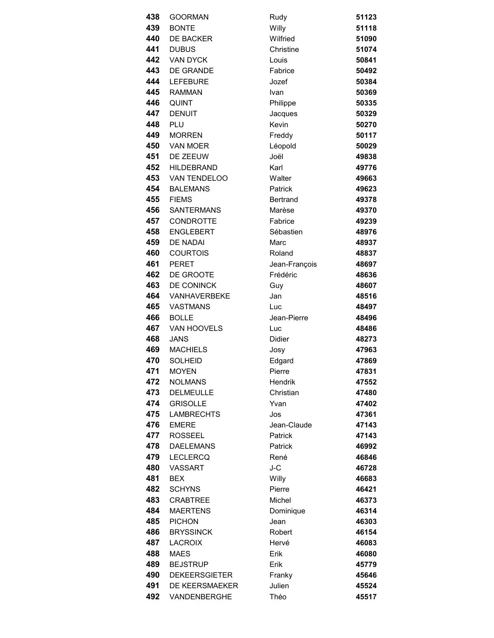| 438  | <b>GOORMAN</b>       | Rudy            | 51123 |
|------|----------------------|-----------------|-------|
| 439  | <b>BONTE</b>         | Willy           | 51118 |
| 440  | <b>DE BACKER</b>     | Wilfried        | 51090 |
| 441  | <b>DUBUS</b>         | Christine       | 51074 |
| 442  | <b>VAN DYCK</b>      | Louis           | 50841 |
| 443  | DE GRANDE            | Fabrice         | 50492 |
| 444  | <b>LEFEBURE</b>      | Jozef           | 50384 |
| 445  | <b>RAMMAN</b>        | Ivan            | 50369 |
| 446  | <b>QUINT</b>         | Philippe        | 50335 |
| 447  | <b>DENUIT</b>        | Jacques         | 50329 |
| 448  | PLU                  | Kevin           | 50270 |
| 449  | <b>MORREN</b>        | Freddy          | 50117 |
| 450  | VAN MOER             | Léopold         | 50029 |
| 451  | DE ZEEUW             | Joël            | 49838 |
| 452  | <b>HILDEBRAND</b>    | Karl            | 49776 |
| 453  | VAN TENDELOO         | Walter          | 49663 |
| 454  | <b>BALEMANS</b>      | Patrick         | 49623 |
| 455  | <b>FIEMS</b>         | <b>Bertrand</b> | 49378 |
| 456  | <b>SANTERMANS</b>    | Marèse          | 49370 |
| 457  | <b>CONDROTTE</b>     | Fabrice         | 49239 |
| 458  | <b>ENGLEBERT</b>     | Sébastien       | 48976 |
| 459  | <b>DE NADAI</b>      | Marc            | 48937 |
| 460  | <b>COURTOIS</b>      | Roland          | 48837 |
| 461  | <b>PERET</b>         | Jean-François   | 48697 |
| 462  | DE GROOTE            | Frédéric        | 48636 |
| 463  | DE CONINCK           | Guy             | 48607 |
| 464  | VANHAVERBEKE         | Jan             | 48516 |
| 465  | <b>VASTMANS</b>      | Luc             | 48497 |
| 466  | <b>BOLLE</b>         | Jean-Pierre     | 48496 |
| 467  | VAN HOOVELS          | Luc             | 48486 |
| 468  | <b>JANS</b>          | <b>Didier</b>   | 48273 |
| 469  | <b>MACHIELS</b>      | Josy            | 47963 |
| 470  | <b>SOLHEID</b>       | Edgard          | 47869 |
| 471  | <b>MOYEN</b>         | Pierre          | 47831 |
| 472  | <b>NOLMANS</b>       | Hendrik         | 47552 |
| 473  | <b>DELMEULLE</b>     | Christian       | 47480 |
| 474  | <b>GRISOLLE</b>      | Yvan            | 47402 |
| 475  | <b>LAMBRECHTS</b>    | Jos             | 47361 |
| 476  | <b>EMERE</b>         | Jean-Claude     | 47143 |
| 477  | <b>ROSSEEL</b>       | Patrick         | 47143 |
| 478  | <b>DAELEMANS</b>     | <b>Patrick</b>  | 46992 |
| 479. | <b>LECLERCQ</b>      | René            | 46846 |
| 480  | <b>VASSART</b>       | J-C             | 46728 |
| 481  | <b>BEX</b>           | Willy           | 46683 |
| 482  | <b>SCHYNS</b>        | Pierre          | 46421 |
| 483  | <b>CRABTREE</b>      | Michel          | 46373 |
| 484  | <b>MAERTENS</b>      | Dominique       | 46314 |
| 485  | <b>PICHON</b>        | Jean            | 46303 |
| 486  | <b>BRYSSINCK</b>     | Robert          | 46154 |
| 487  | <b>LACROIX</b>       | Hervé           | 46083 |
| 488  | <b>MAES</b>          | Erik            | 46080 |
| 489  | <b>BEJSTRUP</b>      | Erik            | 45779 |
| 490  | <b>DEKEERSGIETER</b> | Franky          | 45646 |
| 491  | DE KEERSMAEKER       | Julien          | 45524 |
| 492  | VANDENBERGHE         | Théo            | 45517 |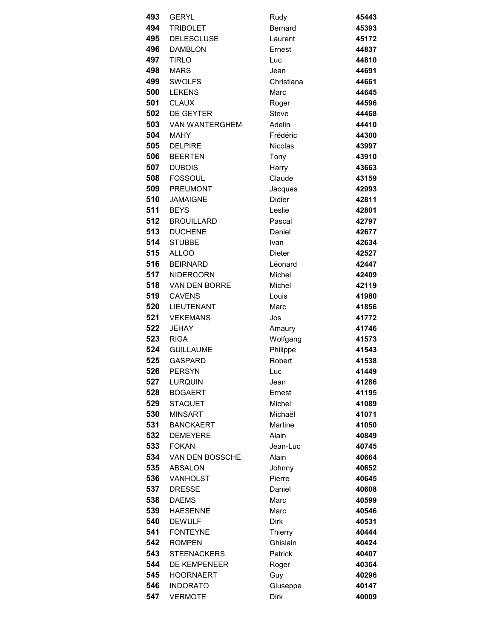| 493 | <b>GERYL</b>          | Rudy           | 45443 |
|-----|-----------------------|----------------|-------|
| 494 | <b>TRIBOLET</b>       | <b>Bernard</b> | 45393 |
| 495 | <b>DELESCLUSE</b>     | Laurent        | 45172 |
| 496 | <b>DAMBLON</b>        | Ernest         | 44837 |
| 497 | <b>TIRLO</b>          | Luc            | 44810 |
| 498 | <b>MARS</b>           | Jean           | 44691 |
| 499 | <b>SWOLFS</b>         | Christiana     | 44661 |
| 500 | <b>LEKENS</b>         | Marc           | 44645 |
| 501 | <b>CLAUX</b>          | Roger          | 44596 |
| 502 | <b>DE GEYTER</b>      | Steve          | 44468 |
| 503 | <b>VAN WANTERGHEM</b> | Adelin         | 44410 |
| 504 | MAHY                  | Frédéric       | 44300 |
| 505 | <b>DELPIRE</b>        | <b>Nicolas</b> | 43997 |
| 506 | <b>BEERTEN</b>        | Tony           | 43910 |
| 507 | <b>DUBOIS</b>         | Harry          | 43663 |
| 508 | <b>FOSSOUL</b>        | Claude         | 43159 |
| 509 | PREUMONT              | Jacques        | 42993 |
| 510 | <b>JAMAIGNE</b>       | <b>Didier</b>  | 42811 |
| 511 | <b>BEYS</b>           | Leslie         | 42801 |
| 512 | <b>BROUILLARD</b>     | Pascal         | 42797 |
| 513 | <b>DUCHENE</b>        | Daniel         | 42677 |
| 514 | <b>STUBBE</b>         | Ivan           | 42634 |
| 515 | ALLOO                 | <b>Dieter</b>  | 42527 |
| 516 | <b>BEIRNARD</b>       | Léonard        | 42447 |
| 517 | NIDERCORN             | Michel         | 42409 |
| 518 | VAN DEN BORRE         | Michel         | 42119 |
| 519 | <b>CAVENS</b>         | Louis          | 41980 |
| 520 | <b>LIEUTENANT</b>     | Marc           | 41856 |
| 521 | <b>VEKEMANS</b>       | Jos            | 41772 |
| 522 | <b>JEHAY</b>          | Amaury         | 41746 |
| 523 | <b>RIGA</b>           | Wolfgang       | 41573 |
| 524 | <b>GUILLAUME</b>      | Philippe       | 41543 |
| 525 | <b>GASPARD</b>        | Robert         | 41538 |
| 526 | PERSYN                | Luc            | 41449 |
| 527 | <b>LURQUIN</b>        | Jean           | 41286 |
| 528 | <b>BOGAERT</b>        | Ernest         | 41195 |
| 529 | <b>STAQUET</b>        | Michel         | 41089 |
| 530 | <b>MINSART</b>        | Michaël        | 41071 |
| 531 | <b>BANCKAERT</b>      | Martine        | 41050 |
| 532 | <b>DEMEYERE</b>       | Alain          | 40849 |
| 533 | <b>FOKAN</b>          | Jean-Luc       | 40745 |
| 534 | VAN DEN BOSSCHE       | Alain          | 40664 |
| 535 | ABSALON               | Johnny         | 40652 |
| 536 | VANHOLST              | Pierre         | 40645 |
| 537 | <b>DRESSE</b>         | Daniel         | 40608 |
| 538 | <b>DAEMS</b>          | Marc           | 40599 |
| 539 | <b>HAESENNE</b>       | Marc           | 40546 |
| 540 | <b>DEWULF</b>         | <b>Dirk</b>    | 40531 |
| 541 | <b>FONTEYNE</b>       | Thierry        | 40444 |
| 542 | <b>ROMPEN</b>         | Ghislain       | 40424 |
| 543 | <b>STEENACKERS</b>    | <b>Patrick</b> | 40407 |
| 544 | <b>DE KEMPENEER</b>   | Roger          | 40364 |
| 545 | <b>HOORNAERT</b>      | Guy            | 40296 |
| 546 | <b>INDORATO</b>       | Giuseppe       | 40147 |
| 547 | <b>VERMOTE</b>        | <b>Dirk</b>    | 40009 |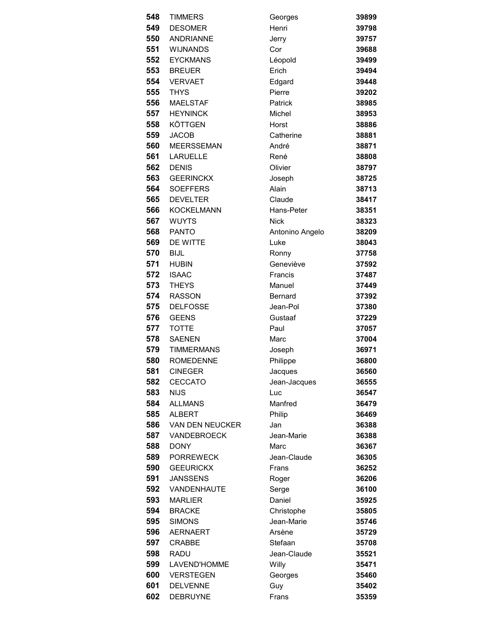| 548        | <b>TIMMERS</b>                   | Georges              | 39899          |
|------------|----------------------------------|----------------------|----------------|
| 549        | <b>DESOMER</b>                   | Henri                | 39798          |
| 550        | <b>ANDRIANNE</b>                 | Jerry                | 39757          |
| 551        | <b>WIJNANDS</b>                  | Cor                  | 39688          |
| 552        | <b>EYCKMANS</b>                  | Léopold              | 39499          |
| 553        | <b>BREUER</b>                    | Erich                | 39494          |
| 554        | <b>VERVAET</b>                   | Edgard               | 39448          |
| 555        | <b>THYS</b>                      | Pierre               | 39202          |
| 556        | <b>MAELSTAF</b>                  | Patrick              | 38985          |
| 557        | <b>HEYNINCK</b>                  | Michel               | 38953          |
| 558        | <b>KÖTTGEN</b>                   | Horst                | 38886          |
| 559        | <b>JACOB</b>                     | Catherine            | 38881          |
| 560        | <b>MEERSSEMAN</b>                | André                | 38871          |
| 561        | <b>LARUELLE</b>                  | René                 | 38808          |
| 562        | <b>DENIS</b>                     | Olivier              | 38797          |
| 563        | <b>GEERINCKX</b>                 | Joseph               | 38725          |
| 564        | <b>SOEFFERS</b>                  | Alain                | 38713          |
| 565        | <b>DEVELTER</b>                  | Claude               | 38417          |
| 566        | <b>KOCKELMANN</b>                | Hans-Peter           | 38351          |
| 567        | <b>WUYTS</b>                     | <b>Nick</b>          | 38323          |
| 568        | <b>PANTO</b>                     | Antonino Angelo      | 38209          |
| 569        | DE WITTE                         | Luke                 | 38043          |
| 570        | <b>BIJL</b>                      | Ronny                | 37758          |
| 571        | <b>HUBIN</b>                     | Geneviève            | 37592          |
| 572        | <b>ISAAC</b>                     | Francis              | 37487          |
| 573        | <b>THEYS</b>                     | Manuel               | 37449          |
| 574        | <b>RASSON</b>                    | Bernard              | 37392          |
| 575        | <b>DELFOSSE</b>                  | Jean-Pol             | 37380          |
| 576        | <b>GEENS</b>                     | Gustaaf              | 37229          |
| 577        | <b>TOTTE</b>                     | Paul                 | 37057          |
| 578        | <b>SAENEN</b>                    | Marc                 | 37004          |
| 579        | <b>TIMMERMANS</b>                | Joseph               | 36971          |
| 580        | <b>ROMEDENNE</b>                 | Philippe             | 36800          |
| 581        | <b>CINEGER</b>                   | Jacques              | 36560          |
| 582        | <b>CECCATO</b>                   | Jean-Jacques         | 36555          |
| 583        | <b>NIJS</b>                      | Luc                  | 36547          |
| 584        | <b>ALLMANS</b>                   | Manfred              | 36479          |
| 585        | <b>ALBERT</b>                    | Philip               | 36469          |
| 586        | VAN DEN NEUCKER                  | Jan                  | 36388          |
| 587        | <b>VANDEBROECK</b>               | Jean-Marie           | 36388          |
| 588        | <b>DONY</b>                      | Marc                 | 36367          |
| 589        | <b>PORREWECK</b>                 | Jean-Claude          | 36305          |
| 590        | <b>GEEURICKX</b>                 | Frans                | 36252          |
| 591        | <b>JANSSENS</b>                  | Roger                | 36206          |
| 592        | VANDENHAUTE                      | Serge                | 36100          |
| 593        | <b>MARLIER</b>                   | Daniel               | 35925          |
| 594<br>595 | <b>BRACKE</b>                    | Christophe           | 35805          |
| 596        | <b>SIMONS</b><br><b>AERNAERT</b> | Jean-Marie<br>Arsène | 35746          |
| 597        |                                  | Stefaan              | 35729          |
| 598        | <b>CRABBE</b>                    |                      | 35708          |
| 599        | <b>RADU</b>                      | Jean-Claude          | 35521          |
| 600        | LAVEND'HOMME<br><b>VERSTEGEN</b> | Willy                | 35471          |
| 601        | <b>DELVENNE</b>                  | Georges<br>Guy       | 35460<br>35402 |
| 602        | <b>DEBRUYNE</b>                  | Frans                | 35359          |
|            |                                  |                      |                |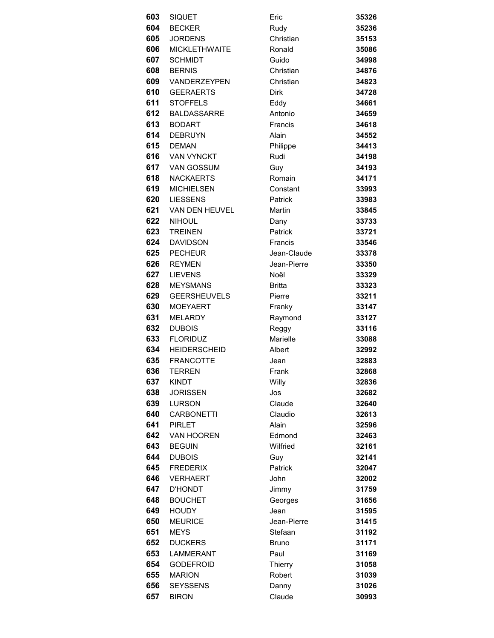| 603 | <b>SIQUET</b>        | Eric          | 35326 |
|-----|----------------------|---------------|-------|
| 604 | <b>BECKER</b>        | Rudy          | 35236 |
| 605 | <b>JORDENS</b>       | Christian     | 35153 |
| 606 | <b>MICKLETHWAITE</b> | Ronald        | 35086 |
| 607 | <b>SCHMIDT</b>       | Guido         | 34998 |
| 608 | <b>BERNIS</b>        | Christian     | 34876 |
|     | 609 VANDERZEYPEN     | Christian     | 34823 |
| 610 | <b>GEERAERTS</b>     | <b>Dirk</b>   | 34728 |
| 611 | <b>STOFFELS</b>      | Eddy          | 34661 |
| 612 | <b>BALDASSARRE</b>   | Antonio       | 34659 |
| 613 | <b>BODART</b>        | Francis       | 34618 |
| 614 | <b>DEBRUYN</b>       | Alain         | 34552 |
| 615 | <b>DEMAN</b>         | Philippe      | 34413 |
| 616 | <b>VAN VYNCKT</b>    | Rudi          | 34198 |
| 617 | VAN GOSSUM           | Guy           | 34193 |
|     | 618 NACKAERTS        | Romain        | 34171 |
| 619 | MICHIELSEN           | Constant      | 33993 |
| 620 | <b>LIESSENS</b>      | Patrick       | 33983 |
| 621 | VAN DEN HEUVEL       | <b>Martin</b> | 33845 |
| 622 | NIHOUL               | Dany          | 33733 |
| 623 | <b>TREINEN</b>       | Patrick       | 33721 |
| 624 | <b>DAVIDSON</b>      | Francis       | 33546 |
| 625 | <b>PECHEUR</b>       | Jean-Claude   | 33378 |
| 626 | <b>REYMEN</b>        | Jean-Pierre   | 33350 |
| 627 | <b>LIEVENS</b>       | Noël          | 33329 |
| 628 | <b>MEYSMANS</b>      | <b>Britta</b> | 33323 |
| 629 | <b>GEERSHEUVELS</b>  | Pierre        | 33211 |
| 630 | <b>MOEYAERT</b>      | Franky        | 33147 |
| 631 | <b>MELARDY</b>       | Raymond       | 33127 |
| 632 | <b>DUBOIS</b>        | Reggy         | 33116 |
| 633 | <b>FLORIDUZ</b>      | Marielle      | 33088 |
| 634 | <b>HEIDERSCHEID</b>  | Albert        | 32992 |
| 635 | <b>FRANCOTTE</b>     | Jean          | 32883 |
| 636 | <b>TERREN</b>        | Frank         | 32868 |
| 637 | <b>KINDT</b>         | Willy         | 32836 |
| 638 | <b>JORISSEN</b>      | Jos           | 32682 |
| 639 | LURSON               | Claude        | 32640 |
| 640 | <b>CARBONETTI</b>    | Claudio       | 32613 |
| 641 | <b>PIRLET</b>        | Alain         | 32596 |
| 642 | <b>VAN HOOREN</b>    | Edmond        | 32463 |
| 643 | <b>BEGUIN</b>        | Wilfried      | 32161 |
| 644 | <b>DUBOIS</b>        | Guy           | 32141 |
| 645 | <b>FREDERIX</b>      | Patrick       | 32047 |
| 646 | <b>VERHAERT</b>      | John          | 32002 |
| 647 | <b>D'HONDT</b>       | Jimmy         | 31759 |
| 648 | <b>BOUCHET</b>       | Georges       | 31656 |
| 649 | <b>HOUDY</b>         | Jean          | 31595 |
| 650 | <b>MEURICE</b>       | Jean-Pierre   | 31415 |
| 651 | <b>MEYS</b>          | Stefaan       | 31192 |
| 652 | <b>DUCKERS</b>       | <b>Bruno</b>  | 31171 |
| 653 | <b>LAMMERANT</b>     | Paul          | 31169 |
| 654 | <b>GODEFROID</b>     | Thierry       | 31058 |
| 655 | <b>MARION</b>        | Robert        | 31039 |
| 656 | <b>SEYSSENS</b>      | Danny         | 31026 |
| 657 | <b>BIRON</b>         | Claude        | 30993 |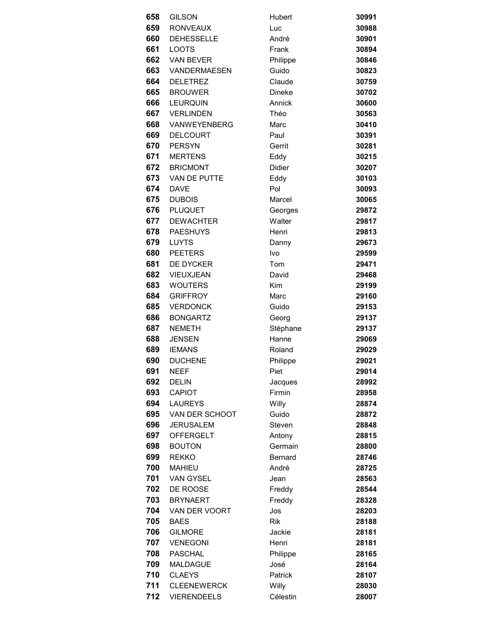| 658 |                                  |               |       |
|-----|----------------------------------|---------------|-------|
| 659 | <b>GILSON</b><br><b>RONVEAUX</b> | Hubert        | 30991 |
|     |                                  | Luc           | 30988 |
| 660 | <b>DEHESSELLE</b>                | André         | 30901 |
| 661 | <b>LOOTS</b>                     | Frank         | 30894 |
| 662 | <b>VAN BEVER</b>                 | Philippe      | 30846 |
| 663 | VANDERMAESEN                     | Guido         | 30823 |
| 664 | <b>DELETREZ</b>                  | Claude        | 30759 |
| 665 | <b>BROUWER</b>                   | <b>Dineke</b> | 30702 |
| 666 | <b>LEURQUIN</b>                  | Annick        | 30600 |
| 667 | <b>VERLINDEN</b>                 | Théo          | 30563 |
| 668 | VANWEYENBERG                     | Marc          | 30410 |
| 669 | <b>DELCOURT</b>                  | Paul          | 30391 |
| 670 | <b>PERSYN</b>                    | Gerrit        | 30281 |
| 671 | <b>MERTENS</b>                   | Eddy          | 30215 |
|     | 672 BRICMONT                     | Didier        | 30207 |
| 673 | VAN DE PUTTE                     | Eddy          | 30103 |
| 674 | <b>DAVE</b>                      | Pol           | 30093 |
| 675 | <b>DUBOIS</b>                    | Marcel        | 30065 |
| 676 | PLUQUET                          | Georges       | 29872 |
| 677 | <b>DEWACHTER</b>                 | Walter        | 29817 |
| 678 | <b>PAESHUYS</b>                  | Henri         | 29813 |
| 679 | LUYTS                            | Danny         | 29673 |
| 680 | <b>PEETERS</b>                   | Ivo           | 29599 |
| 681 | DE DYCKER                        | Tom           | 29471 |
| 682 | VIEUXJEAN                        | David         | 29468 |
| 683 | <b>WOUTERS</b>                   | Kim           | 29199 |
| 684 | <b>GRIFFROY</b>                  | Marc          | 29160 |
| 685 | <b>VERDONCK</b>                  | Guido         | 29153 |
| 686 | <b>BONGARTZ</b>                  | Georg         | 29137 |
| 687 | <b>NEMETH</b>                    | Stéphane      | 29137 |
| 688 | <b>JENSEN</b>                    | Hanne         | 29069 |
| 689 | <b>IEMANS</b>                    | Roland        | 29029 |
| 690 | <b>DUCHENE</b>                   | Philippe      | 29021 |
| 691 | NFFF                             | Piet          | 29014 |
| 692 | <b>DELIN</b>                     | Jacques       | 28992 |
| 693 | <b>CAPIOT</b>                    | Firmin        | 28958 |
| 694 | <b>LAUREYS</b>                   | Willy         | 28874 |
| 695 | VAN DER SCHOOT                   | Guido         | 28872 |
| 696 | <b>JERUSALEM</b>                 | Steven        | 28848 |
| 697 | <b>OFFERGELT</b>                 | Antony        | 28815 |
| 698 | <b>BOUTON</b>                    | Germain       | 28800 |
| 699 | <b>REKKO</b>                     | Bernard       | 28746 |
| 700 | <b>MAHIEU</b>                    | André         | 28725 |
| 701 | VAN GYSEL                        | Jean          | 28563 |
| 702 | DE ROOSE                         | Freddy        | 28544 |
| 703 | <b>BRYNAERT</b>                  | Freddy        | 28328 |
| 704 | VAN DER VOORT                    | Jos           | 28203 |
| 705 | <b>BAES</b>                      | <b>Rik</b>    | 28188 |
| 706 | <b>GILMORE</b>                   | Jackie        | 28181 |
| 707 | <b>VENEGONI</b>                  | Henri         | 28181 |
| 708 | <b>PASCHAL</b>                   | Philippe      | 28165 |
| 709 | <b>MALDAGUE</b>                  | José          | 28164 |
| 710 | <b>CLAEYS</b>                    | Patrick       | 28107 |
| 711 | <b>CLEENEWERCK</b>               | Willy         | 28030 |
| 712 | <b>VIERENDEELS</b>               | Célestin      | 28007 |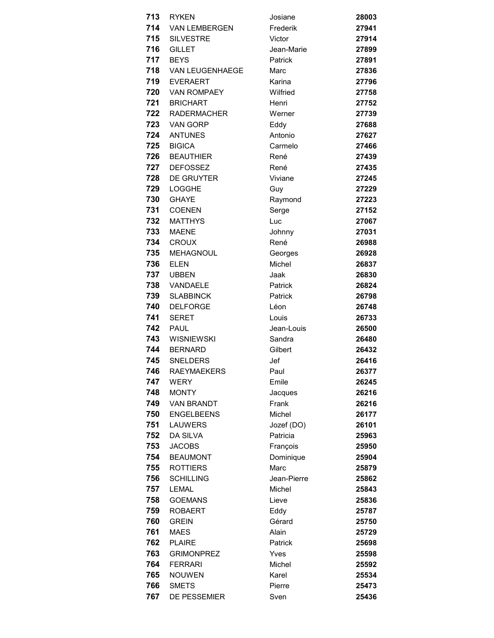| 713 | RYKEN                  | Josiane     | 28003 |
|-----|------------------------|-------------|-------|
| 714 | <b>VAN LEMBERGEN</b>   | Frederik    | 27941 |
| 715 | <b>SILVESTRE</b>       | Victor      | 27914 |
| 716 | <b>GILLET</b>          | Jean-Marie  | 27899 |
| 717 | <b>BEYS</b>            | Patrick     | 27891 |
| 718 | <b>VAN LEUGENHAEGE</b> | Marc        | 27836 |
| 719 | EVERAERT               | Karina      | 27796 |
| 720 | <b>VAN ROMPAEY</b>     | Wilfried    | 27758 |
| 721 | <b>BRICHART</b>        | Henri       | 27752 |
| 722 | <b>RADERMACHER</b>     | Werner      | 27739 |
| 723 | <b>VAN GORP</b>        | Eddy        | 27688 |
| 724 | <b>ANTUNES</b>         | Antonio     | 27627 |
| 725 | <b>BIGICA</b>          | Carmelo     | 27466 |
| 726 | <b>BEAUTHIER</b>       | René        | 27439 |
| 727 | <b>DEFOSSEZ</b>        | René        | 27435 |
| 728 | <b>DE GRUYTER</b>      | Viviane     | 27245 |
| 729 | <b>LOGGHE</b>          | Guy         | 27229 |
| 730 | <b>GHAYE</b>           | Raymond     | 27223 |
| 731 | <b>COENEN</b>          | Serge       | 27152 |
| 732 | <b>MATTHYS</b>         | Luc         | 27067 |
| 733 | <b>MAENE</b>           | Johnny      | 27031 |
| 734 | <b>CROUX</b>           | René        | 26988 |
| 735 | <b>MEHAGNOUL</b>       | Georges     | 26928 |
| 736 | <b>ELEN</b>            | Michel      | 26837 |
| 737 | <b>UBBEN</b>           | Jaak        | 26830 |
| 738 | VANDAELE               | Patrick     | 26824 |
| 739 | <b>SLABBINCK</b>       | Patrick     | 26798 |
| 740 | <b>DELFORGE</b>        | Léon        | 26748 |
| 741 | <b>SERET</b>           | Louis       | 26733 |
| 742 | <b>PAUL</b>            | Jean-Louis  | 26500 |
| 743 | <b>WISNIEWSKI</b>      | Sandra      | 26480 |
| 744 | <b>BERNARD</b>         | Gilbert     | 26432 |
| 745 | <b>SNELDERS</b>        | Jef         | 26416 |
| 746 | <b>RAEYMAEKERS</b>     | Paul        | 26377 |
| 747 | <b>WERY</b>            | Emile       | 26245 |
| 748 | <b>MONTY</b>           | Jacques     | 26216 |
| 749 | <b>VAN BRANDT</b>      | Frank       | 26216 |
| 750 | <b>ENGELBEENS</b>      | Michel      | 26177 |
| 751 | <b>LAUWERS</b>         | Jozef (DO)  | 26101 |
| 752 | <b>DA SILVA</b>        | Patricia    | 25963 |
| 753 | <b>JACOBS</b>          | François    | 25950 |
| 754 | <b>BEAUMONT</b>        | Dominique   | 25904 |
| 755 | <b>ROTTIERS</b>        | Marc        | 25879 |
| 756 | <b>SCHILLING</b>       | Jean-Pierre | 25862 |
| 757 | <b>LEMAL</b>           | Michel      | 25843 |
| 758 | <b>GOEMANS</b>         | Lieve       | 25836 |
| 759 | <b>ROBAERT</b>         | Eddy        | 25787 |
| 760 | <b>GREIN</b>           | Gérard      | 25750 |
| 761 | <b>MAES</b>            | Alain       | 25729 |
| 762 | <b>PLAIRE</b>          | Patrick     | 25698 |
| 763 | <b>GRIMONPREZ</b>      | Yves        | 25598 |
| 764 | <b>FERRARI</b>         | Michel      | 25592 |
| 765 | <b>NOUWEN</b>          | Karel       | 25534 |
| 766 | <b>SMETS</b>           | Pierre      | 25473 |
| 767 | DE PESSEMIER           | Sven        | 25436 |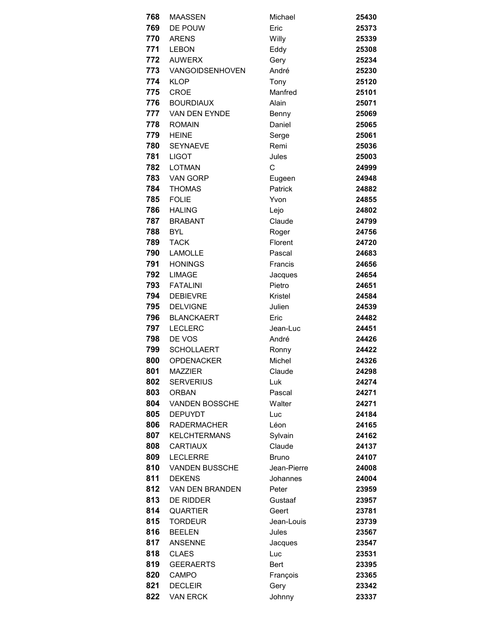| 768 | <b>MAASSEN</b>         | Michael        | 25430 |
|-----|------------------------|----------------|-------|
| 769 | DE POUW                | Eric           | 25373 |
| 770 | <b>ARENS</b>           | Willy          | 25339 |
| 771 | <b>LEBON</b>           | Eddy           | 25308 |
| 772 | <b>AUWERX</b>          | Gery           | 25234 |
| 773 | <b>VANGOIDSENHOVEN</b> | André          | 25230 |
| 774 | <b>KLOP</b>            | Tony           | 25120 |
| 775 | <b>CROE</b>            | Manfred        | 25101 |
| 776 | <b>BOURDIAUX</b>       | Alain          | 25071 |
| 777 | VAN DEN EYNDE          | Benny          | 25069 |
| 778 | <b>ROMAIN</b>          | Daniel         | 25065 |
| 779 | <b>HEINE</b>           | Serge          | 25061 |
| 780 | <b>SEYNAEVE</b>        | Remi           | 25036 |
| 781 | <b>LIGOT</b>           | Jules          | 25003 |
| 782 | <b>LOTMAN</b>          | C              | 24999 |
| 783 | <b>VAN GORP</b>        | Eugeen         | 24948 |
| 784 | <b>THOMAS</b>          | <b>Patrick</b> | 24882 |
| 785 | <b>FOLIE</b>           | Yvon           | 24855 |
| 786 | <b>HALING</b>          | Lejo           | 24802 |
| 787 | <b>BRABANT</b>         | Claude         | 24799 |
| 788 | <b>BYL</b>             | Roger          | 24756 |
| 789 | <b>TACK</b>            | Florent        | 24720 |
| 790 | <b>LAMOLLE</b>         | Pascal         | 24683 |
| 791 | <b>HONINGS</b>         | Francis        | 24656 |
| 792 | <b>LIMAGE</b>          | Jacques        | 24654 |
| 793 | <b>FATALINI</b>        | Pietro         | 24651 |
| 794 | <b>DEBIEVRE</b>        | Kristel        | 24584 |
| 795 | <b>DELVIGNE</b>        | Julien         | 24539 |
| 796 | <b>BLANCKAERT</b>      | Eric           | 24482 |
| 797 | <b>LECLERC</b>         | Jean-Luc       | 24451 |
| 798 | DE VOS                 | André          | 24426 |
| 799 | <b>SCHOLLAERT</b>      | Ronny          | 24422 |
| 800 | <b>OPDENACKER</b>      | Michel         | 24326 |
| 801 | <b>MAZZIER</b>         | Claude         | 24298 |
| 802 | <b>SERVERIUS</b>       | Luk            | 24274 |
| 803 | <b>ORBAN</b>           | Pascal         | 24271 |
| 804 | <b>VANDEN BOSSCHE</b>  | Walter         | 24271 |
| 805 | <b>DEPUYDT</b>         | Luc            | 24184 |
| 806 | <b>RADERMACHER</b>     | Léon           | 24165 |
| 807 | <b>KELCHTERMANS</b>    | Sylvain        | 24162 |
| 808 | <b>CARTIAUX</b>        | Claude         | 24137 |
| 809 | <b>LECLERRE</b>        | Bruno          | 24107 |
| 810 | <b>VANDEN BUSSCHE</b>  | Jean-Pierre    | 24008 |
| 811 | <b>DEKENS</b>          | Johannes       | 24004 |
| 812 | <b>VAN DEN BRANDEN</b> | Peter          | 23959 |
| 813 | <b>DE RIDDER</b>       | Gustaaf        | 23957 |
| 814 | <b>QUARTIER</b>        | Geert          | 23781 |
| 815 | <b>TORDEUR</b>         | Jean-Louis     | 23739 |
| 816 | <b>BEELEN</b>          | Jules          | 23567 |
| 817 | <b>ANSENNE</b>         | Jacques        | 23547 |
| 818 | <b>CLAES</b>           | Luc            | 23531 |
| 819 | <b>GEERAERTS</b>       | Bert           | 23395 |
| 820 | <b>CAMPO</b>           | François       | 23365 |
| 821 | <b>DECLEIR</b>         | Gery           | 23342 |
| 822 | <b>VAN ERCK</b>        | Johnny         | 23337 |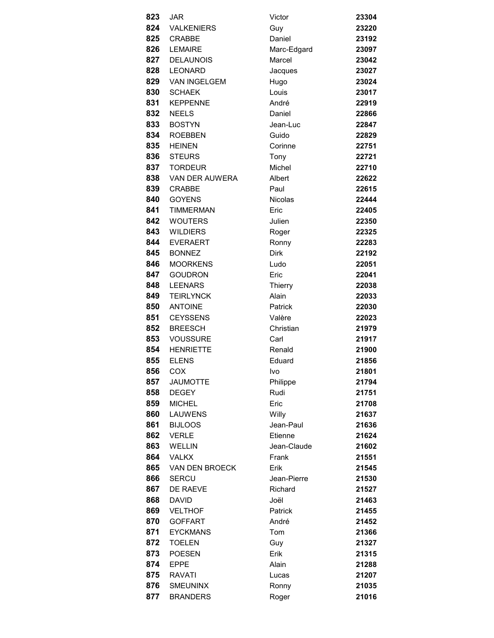| 823  | JAR                 | Victor         | 23304 |
|------|---------------------|----------------|-------|
| 824  | VALKENIERS          | Guy            | 23220 |
| 825  | <b>CRABBE</b>       | Daniel         | 23192 |
| 826  | LEMAIRE             | Marc-Edgard    | 23097 |
| 827  | <b>DELAUNOIS</b>    | Marcel         | 23042 |
| 828  | <b>LEONARD</b>      | Jacques        | 23027 |
| 829  | <b>VAN INGELGEM</b> | Hugo           | 23024 |
| 830  | <b>SCHAEK</b>       | Louis          | 23017 |
| 831  | <b>KEPPENNE</b>     | André          | 22919 |
| 832  | <b>NEELS</b>        | Daniel         | 22866 |
| 833  | <b>BOSTYN</b>       | Jean-Luc       | 22847 |
| 834  | <b>ROEBBEN</b>      | Guido          | 22829 |
| 835  | <b>HEINEN</b>       | Corinne        | 22751 |
| 836  | <b>STEURS</b>       | Tony           | 22721 |
|      | 837 TORDEUR         | Michel         | 22710 |
| 838  | VAN DER AUWERA      | Albert         | 22622 |
| 839  | <b>CRABBE</b>       | Paul           | 22615 |
| 840  | <b>GOYENS</b>       | <b>Nicolas</b> | 22444 |
| 841  | <b>TIMMERMAN</b>    | Eric           | 22405 |
| 842  | <b>WOUTERS</b>      | Julien         | 22350 |
| 843  | <b>WILDIERS</b>     | Roger          | 22325 |
| 844  | <b>EVERAERT</b>     | Ronny          | 22283 |
| 845  | <b>BONNEZ</b>       | <b>Dirk</b>    | 22192 |
| 846  | <b>MOORKENS</b>     | Ludo           | 22051 |
| 847  | <b>GOUDRON</b>      | Eric           | 22041 |
| 848  | <b>LEENARS</b>      | Thierry        | 22038 |
| 849  | <b>TEIRLYNCK</b>    | Alain          | 22033 |
| 850  | <b>ANTOINE</b>      | Patrick        | 22030 |
| 851  | <b>CEYSSENS</b>     | Valère         | 22023 |
| 852  | <b>BREESCH</b>      | Christian      | 21979 |
| 853  | <b>VOUSSURE</b>     | Carl           | 21917 |
| 854  | <b>HENRIETTE</b>    | Renald         | 21900 |
| 855  | <b>ELENS</b>        | Eduard         | 21856 |
| 856. | COX.                | lvo.           | 21801 |
| 857  | <b>JAUMOTTE</b>     | Philippe       | 21794 |
| 858  | <b>DEGEY</b>        | Rudi           | 21751 |
| 859  | <b>MICHEL</b>       | Eric           | 21708 |
| 860  | <b>LAUWENS</b>      | Willy          | 21637 |
| 861  | <b>BIJLOOS</b>      | Jean-Paul      | 21636 |
| 862  | <b>VERLE</b>        | Etienne        | 21624 |
| 863  | <b>WELLIN</b>       | Jean-Claude    | 21602 |
| 864  | <b>VALKX</b>        | Frank          | 21551 |
| 865  | VAN DEN BROECK      | Erik           | 21545 |
| 866  | <b>SERCU</b>        | Jean-Pierre    | 21530 |
| 867  | DE RAEVE            | Richard        | 21527 |
| 868  | <b>DAVID</b>        | Joël           | 21463 |
| 869  | <b>VELTHOF</b>      | Patrick        | 21455 |
| 870  | <b>GOFFART</b>      | André          | 21452 |
| 871  | <b>EYCKMANS</b>     | Tom            | 21366 |
| 872  | <b>TOELEN</b>       | Guy            | 21327 |
| 873  | <b>POESEN</b>       | Erik           | 21315 |
| 874  | <b>EPPE</b>         | Alain          | 21288 |
| 875  | RAVATI              | Lucas          | 21207 |
| 876  | <b>SMEUNINX</b>     | Ronny          | 21035 |
| 877  | <b>BRANDERS</b>     | Roger          | 21016 |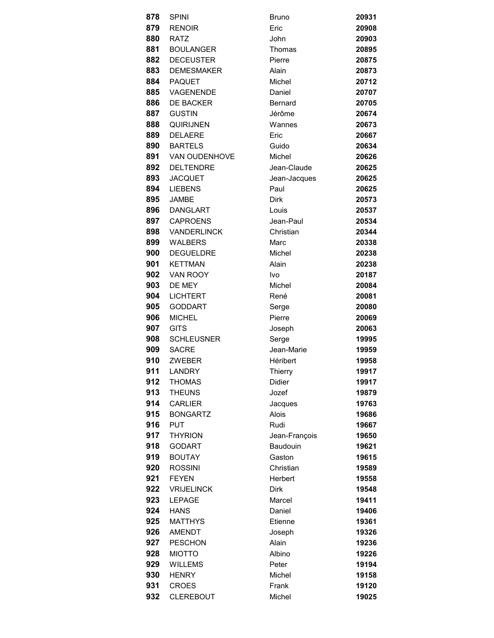| 878        | <b>SPINI</b>                  | Bruno                     | 20931          |
|------------|-------------------------------|---------------------------|----------------|
| 879        | <b>RENOIR</b>                 | Eric                      | 20908          |
| 880        | <b>RATZ</b>                   | John                      | 20903          |
| 881        | <b>BOULANGER</b>              | Thomas                    | 20895          |
| 882        | <b>DECEUSTER</b>              | Pierre                    | 20875          |
| 883        | <b>DEMESMAKER</b>             | Alain                     | 20873          |
| 884        | PAQUET                        | Michel                    | 20712          |
| 885        | VAGENENDE                     | Daniel                    | 20707          |
| 886        | <b>DE BACKER</b>              | <b>Bernard</b>            | 20705          |
| 887        | <b>GUSTIN</b>                 | Jérôme                    | 20674          |
| 888        | <b>QUIRIJNEN</b>              | Wannes                    | 20673          |
| 889        | <b>DELAERE</b>                | Eric                      | 20667          |
| 890        | <b>BARTELS</b>                | Guido                     | 20634          |
|            | 891 VAN OUDENHOVE             | Michel                    | 20626          |
| 892        | DELTENDRE                     | Jean-Claude               | 20625          |
| 893        | <b>JACQUET</b>                | Jean-Jacques              | 20625          |
| 894        | <b>LIEBENS</b>                | Paul                      | 20625          |
| 895        | <b>JAMBE</b>                  | <b>Dirk</b>               | 20573          |
|            | 896 DANGLART                  | Louis                     | 20537          |
| 897        | <b>CAPROENS</b>               | Jean-Paul                 | 20534          |
| 898        | VANDERLINCK                   | Christian                 | 20344          |
| 899        | WALBERS                       | Marc                      | 20338          |
| 900 —      | <b>DEGUELDRE</b>              | Michel                    | 20238          |
|            | 901 KETTMAN                   | Alain                     | 20238          |
| 902        | VAN ROOY                      | Ivo                       | 20187          |
| 903        | DE MEY                        | Michel                    | 20084          |
| 904        | <b>LICHTERT</b>               | René                      | 20081          |
| 905        | <b>GODDART</b>                | Serge                     | 20080          |
| 906        | <b>MICHEL</b>                 | Pierre                    | 20069          |
| 907        | <b>GITS</b>                   | Joseph                    | 20063          |
| 908        | <b>SCHLEUSNER</b>             | Serge                     | 19995          |
| 909        | <b>SACRE</b>                  | Jean-Marie                | 19959          |
| 910        | <b>ZWEBER</b>                 | <b>Héribert</b>           | 19958          |
|            | 911 LANDRY                    | Thierry                   | 19917          |
| 912        | <b>THOMAS</b>                 | Didier                    | 19917          |
| 913        | <b>THEUNS</b>                 | Jozef                     | 19879          |
| 914<br>915 | <b>CARLIER</b>                | Jacques                   | 19763          |
| 916        | <b>BONGARTZ</b><br><b>PUT</b> | Alois<br>Rudi             | 19686<br>19667 |
| 917        | <b>THYRION</b>                |                           | 19650          |
| 918        | <b>GODART</b>                 | Jean-François<br>Baudouin | 19621          |
| 919        | <b>BOUTAY</b>                 | Gaston                    | 19615          |
| 920        | <b>ROSSINI</b>                | Christian                 | 19589          |
| 921        | <b>FEYEN</b>                  | Herbert                   | 19558          |
| 922        | <b>VRIJELINCK</b>             | <b>Dirk</b>               | 19548          |
| 923        | <b>LEPAGE</b>                 | Marcel                    | 19411          |
| 924        | <b>HANS</b>                   | Daniel                    | 19406          |
| 925        | <b>MATTHYS</b>                | Etienne                   | 19361          |
| 926        | <b>AMENDT</b>                 | Joseph                    | 19326          |
| 927        | <b>PESCHON</b>                | Alain                     | 19236          |
| 928        | <b>MIOTTO</b>                 | Albino                    | 19226          |
| 929        | <b>WILLEMS</b>                | Peter                     | 19194          |
| 930        | <b>HENRY</b>                  | Michel                    | 19158          |
| 931        | <b>CROES</b>                  | Frank                     | 19120          |
| 932        | <b>CLEREBOUT</b>              | Michel                    | 19025          |
|            |                               |                           |                |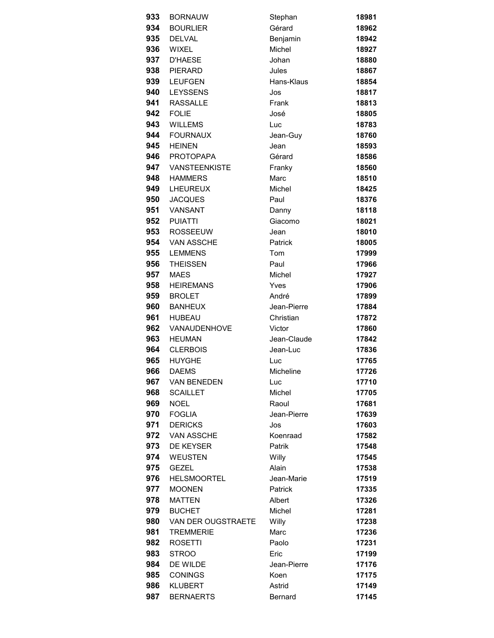| 933 | <b>BORNAUW</b>     | Stephan        | 18981 |
|-----|--------------------|----------------|-------|
| 934 | <b>BOURLIER</b>    | Gérard         | 18962 |
| 935 | <b>DELVAL</b>      | Benjamin       | 18942 |
| 936 | WIXEL              | Michel         | 18927 |
| 937 | <b>D'HAESE</b>     | Johan          | 18880 |
| 938 | PIERARD            | Jules          | 18867 |
| 939 | <b>LEUFGEN</b>     | Hans-Klaus     | 18854 |
| 940 | <b>LEYSSENS</b>    | Jos            | 18817 |
| 941 | <b>RASSALLE</b>    | Frank          | 18813 |
| 942 | <b>FOLIE</b>       | José           | 18805 |
| 943 | <b>WILLEMS</b>     | Luc            | 18783 |
| 944 | <b>FOURNAUX</b>    | Jean-Guy       | 18760 |
| 945 | <b>HEINEN</b>      | Jean           | 18593 |
| 946 | PROTOPAPA          | Gérard         | 18586 |
| 947 | VANSTEENKISTE      | Franky         | 18560 |
| 948 | <b>HAMMERS</b>     | Marc           | 18510 |
| 949 | LHEUREUX           | Michel         | 18425 |
| 950 | <b>JACQUES</b>     | Paul           | 18376 |
| 951 | VANSANT            | Danny          | 18118 |
| 952 | <b>PUIATTI</b>     | Giacomo        | 18021 |
|     | 953 ROSSEEUW       | Jean           | 18010 |
| 954 | <b>VAN ASSCHE</b>  | Patrick        | 18005 |
| 955 | <b>LEMMENS</b>     | Tom            | 17999 |
| 956 | <b>THEISSEN</b>    | Paul           | 17966 |
| 957 | <b>MAES</b>        | Michel         | 17927 |
| 958 | <b>HEIREMANS</b>   | Yves           | 17906 |
| 959 | <b>BROLET</b>      | André          | 17899 |
| 960 | <b>BANHEUX</b>     | Jean-Pierre    | 17884 |
| 961 | <b>HUBEAU</b>      | Christian      | 17872 |
| 962 | VANAUDENHOVE       | Victor         | 17860 |
| 963 | <b>HEUMAN</b>      | Jean-Claude    | 17842 |
| 964 | <b>CLERBOIS</b>    | Jean-Luc       | 17836 |
| 965 | <b>HUYGHE</b>      | Luc            | 17765 |
| 966 | <b>DAEMS</b>       | Micheline      | 17726 |
| 967 | <b>VAN BENEDEN</b> | Luc            | 17710 |
| 968 | <b>SCAILLET</b>    | Michel         | 17705 |
| 969 | <b>NOEL</b>        | Raoul          | 17681 |
| 970 | <b>FOGLIA</b>      | Jean-Pierre    | 17639 |
| 971 | <b>DERICKS</b>     | Jos            | 17603 |
| 972 | VAN ASSCHE         | Koenraad       | 17582 |
| 973 | <b>DE KEYSER</b>   | Patrik         | 17548 |
| 974 | <b>WEUSTEN</b>     | Willy          | 17545 |
| 975 | <b>GEZEL</b>       | Alain          | 17538 |
| 976 | <b>HELSMOORTEL</b> | Jean-Marie     | 17519 |
| 977 | <b>MOONEN</b>      | Patrick        | 17335 |
| 978 | <b>MATTEN</b>      | Albert         | 17326 |
| 979 | <b>BUCHET</b>      | Michel         | 17281 |
| 980 | VAN DER OUGSTRAETE | Willy          | 17238 |
| 981 | <b>TREMMERIE</b>   | Marc           | 17236 |
| 982 | <b>ROSETTI</b>     | Paolo          | 17231 |
| 983 | <b>STROO</b>       | Eric           | 17199 |
| 984 | DE WILDE           | Jean-Pierre    | 17176 |
| 985 | <b>CONINGS</b>     | Koen           | 17175 |
| 986 | <b>KLUBERT</b>     | Astrid         | 17149 |
| 987 | <b>BERNAERTS</b>   | <b>Bernard</b> | 17145 |
|     |                    |                |       |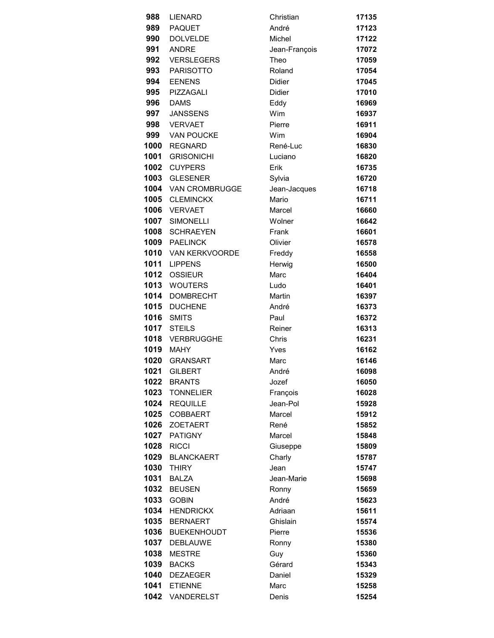| 988  | LIENARD               | Christian     | 17135 |
|------|-----------------------|---------------|-------|
| 989  | <b>PAQUET</b>         | André         | 17123 |
| 990  | <b>DOLVELDE</b>       | Michel        | 17122 |
| 991  | <b>ANDRE</b>          | Jean-François | 17072 |
| 992  | <b>VERSLEGERS</b>     | Theo          | 17059 |
| 993  | <b>PARISOTTO</b>      | Roland        | 17054 |
| 994  | <b>EENENS</b>         | Didier        | 17045 |
| 995  | PIZZAGALI             | Didier        | 17010 |
| 996  | <b>DAMS</b>           | Eddy          | 16969 |
| 997  | <b>JANSSENS</b>       | Wim           | 16937 |
| 998  | <b>VERVAET</b>        | Pierre        | 16911 |
| 999  | <b>VAN POUCKE</b>     | Wim           | 16904 |
| 1000 | <b>REGNARD</b>        | René-Luc      | 16830 |
| 1001 | <b>GRISONICHI</b>     | Luciano       | 16820 |
| 1002 | <b>CUYPERS</b>        | Erik          | 16735 |
| 1003 | <b>GLESENER</b>       | Sylvia        | 16720 |
| 1004 | <b>VAN CROMBRUGGE</b> | Jean-Jacques  | 16718 |
| 1005 | <b>CLEMINCKX</b>      | Mario         | 16711 |
| 1006 | <b>VERVAET</b>        | Marcel        | 16660 |
| 1007 | <b>SIMONELLI</b>      | Wolner        | 16642 |
| 1008 | <b>SCHRAEYEN</b>      | Frank         | 16601 |
| 1009 | <b>PAELINCK</b>       | Olivier       | 16578 |
| 1010 | VAN KERKVOORDE        | Freddy        | 16558 |
| 1011 | <b>LIPPENS</b>        | Herwig        | 16500 |
| 1012 | <b>OSSIEUR</b>        | Marc          | 16404 |
| 1013 | <b>WOUTERS</b>        | Ludo          | 16401 |
| 1014 | <b>DOMBRECHT</b>      | Martin        | 16397 |
| 1015 | <b>DUCHENE</b>        | André         | 16373 |
| 1016 | <b>SMITS</b>          | Paul          | 16372 |
| 1017 | <b>STEILS</b>         | Reiner        | 16313 |
| 1018 | VERBRUGGHE            | Chris         | 16231 |
| 1019 | <b>MAHY</b>           | Yves          | 16162 |
| 1020 | <b>GRANSART</b>       | Marc          | 16146 |
|      | <b>1021 GILBERT</b>   | André         | 16098 |
|      | 1022 BRANTS           | Jozef         | 16050 |
| 1023 | <b>TONNELIER</b>      | François      | 16028 |
| 1024 | <b>REQUILLE</b>       | Jean-Pol      | 15928 |
| 1025 | <b>COBBAERT</b>       | Marcel        | 15912 |
| 1026 | <b>ZOETAERT</b>       | René          | 15852 |
| 1027 | <b>PATIGNY</b>        | Marcel        | 15848 |
| 1028 | <b>RICCI</b>          | Giuseppe      | 15809 |
| 1029 | <b>BLANCKAERT</b>     | Charly        | 15787 |
| 1030 | <b>THIRY</b>          | Jean          | 15747 |
| 1031 | <b>BALZA</b>          | Jean-Marie    | 15698 |
| 1032 | <b>BEUSEN</b>         | Ronny         | 15659 |
| 1033 | <b>GOBIN</b>          | André         | 15623 |
| 1034 | <b>HENDRICKX</b>      | Adriaan       | 15611 |
| 1035 | <b>BERNAERT</b>       | Ghislain      | 15574 |
| 1036 | <b>BUEKENHOUDT</b>    | Pierre        | 15536 |
| 1037 | <b>DEBLAUWE</b>       | Ronny         | 15380 |
| 1038 | <b>MESTRE</b>         | Guy           | 15360 |
| 1039 | <b>BACKS</b>          | Gérard        | 15343 |
| 1040 | <b>DEZAEGER</b>       | Daniel        | 15329 |
|      | 1041 ETIENNE          | Marc          | 15258 |
|      | 1042 VANDERELST       | Denis         | 15254 |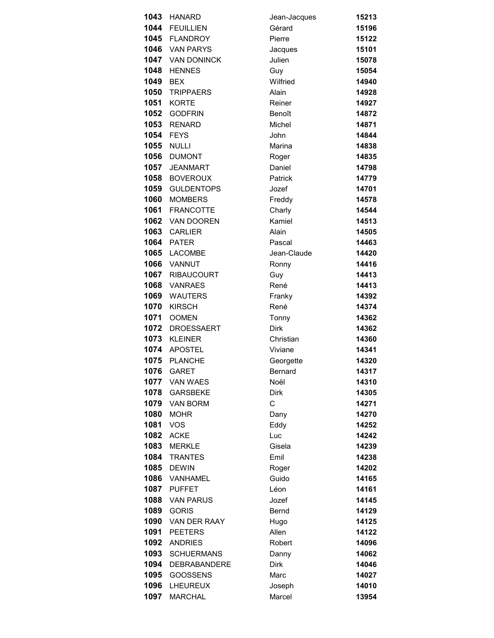| 1043 | <b>HANARD</b>       | Jean-Jacques | 15213 |
|------|---------------------|--------------|-------|
| 1044 | <b>FEUILLIEN</b>    | Gérard       | 15196 |
|      | 1045 FLANDROY       | Pierre       | 15122 |
|      | 1046 VAN PARYS      | Jacques      | 15101 |
|      | 1047 VAN DONINCK    | Julien       | 15078 |
| 1048 | <b>HENNES</b>       | Guy          | 15054 |
| 1049 | <b>BEX</b>          | Wilfried     | 14940 |
| 1050 | <b>TRIPPAERS</b>    | Alain        | 14928 |
| 1051 | <b>KORTE</b>        | Reiner       | 14927 |
| 1052 | <b>GODFRIN</b>      | Benoît       | 14872 |
| 1053 | <b>RENARD</b>       | Michel       | 14871 |
| 1054 | <b>FEYS</b>         | John         | 14844 |
| 1055 | <b>NULLI</b>        | Marina       | 14838 |
| 1056 | <b>DUMONT</b>       | Roger        | 14835 |
| 1057 | <b>JEANMART</b>     | Daniel       | 14798 |
| 1058 | <b>BOVEROUX</b>     | Patrick      | 14779 |
| 1059 | <b>GULDENTOPS</b>   | Jozef        | 14701 |
| 1060 | <b>MOMBERS</b>      | Freddy       | 14578 |
| 1061 | <b>FRANCOTTE</b>    | Charly       | 14544 |
| 1062 | VAN DOOREN          | Kamiel       | 14513 |
| 1063 | <b>CARLIER</b>      | Alain        | 14505 |
| 1064 | PATER               | Pascal       | 14463 |
| 1065 | LACOMBE             | Jean-Claude  | 14420 |
| 1066 | VANNUT              | Ronny        | 14416 |
| 1067 | <b>RIBAUCOURT</b>   | Guy          | 14413 |
| 1068 | <b>VANRAES</b>      | René         | 14413 |
| 1069 | <b>WAUTERS</b>      | Franky       | 14392 |
| 1070 | <b>KIRSCH</b>       | René         | 14374 |
| 1071 | <b>OOMEN</b>        | Tonny        | 14362 |
| 1072 | <b>DROESSAERT</b>   | <b>Dirk</b>  | 14362 |
| 1073 | <b>KLEINER</b>      | Christian    | 14360 |
| 1074 | APOSTEL             | Viviane      | 14341 |
| 1075 | <b>PLANCHE</b>      | Georgette    | 14320 |
| 1076 | GARET               | Bernard      | 14317 |
| 1077 | <b>VAN WAES</b>     | Noël         | 14310 |
| 1078 | <b>GARSBEKE</b>     | <b>Dirk</b>  | 14305 |
| 1079 | VAN BORM            | C            | 14271 |
| 1080 | <b>MOHR</b>         | Dany         | 14270 |
| 1081 | <b>VOS</b>          | Eddy         | 14252 |
| 1082 | <b>ACKE</b>         | Luc          | 14242 |
| 1083 | <b>MERKLE</b>       | Gisela       | 14239 |
| 1084 | <b>TRANTES</b>      | Emil         | 14238 |
| 1085 | <b>DEWIN</b>        | Roger        | 14202 |
| 1086 | VANHAMEL            | Guido        | 14165 |
| 1087 | <b>PUFFET</b>       | Léon         | 14161 |
| 1088 | <b>VAN PARIJS</b>   | Jozef        | 14145 |
| 1089 | <b>GORIS</b>        | <b>Bernd</b> | 14129 |
| 1090 | VAN DER RAAY        | Hugo         | 14125 |
| 1091 | <b>PEETERS</b>      | Allen        | 14122 |
| 1092 | <b>ANDRIES</b>      | Robert       | 14096 |
| 1093 | <b>SCHUERMANS</b>   | Danny        | 14062 |
| 1094 | <b>DEBRABANDERE</b> | <b>Dirk</b>  | 14046 |
| 1095 | <b>GOOSSENS</b>     | Marc         | 14027 |
| 1096 | LHEUREUX            | Joseph       | 14010 |
| 1097 | <b>MARCHAL</b>      | Marcel       | 13954 |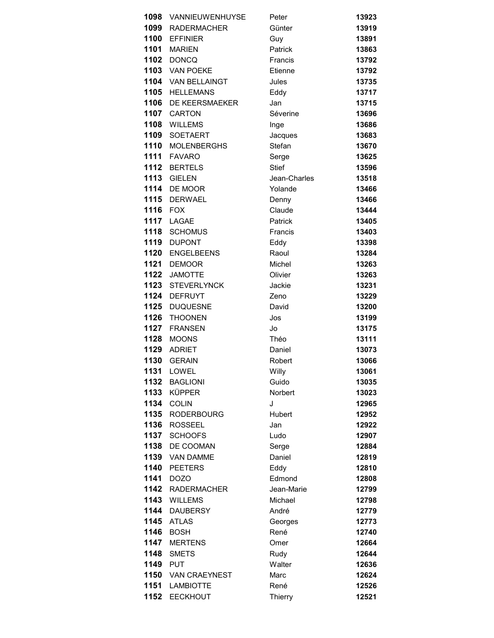| 1098     | VANNIEUWENHUYSE    | Peter         | 13923 |
|----------|--------------------|---------------|-------|
| 1099     | <b>RADERMACHER</b> | Günter        | 13919 |
|          | 1100 EFFINIER      | Guy           | 13891 |
| 1101     | <b>MARIEN</b>      | Patrick       | 13863 |
| 1102     | <b>DONCQ</b>       | Francis       | 13792 |
| 1103     | <b>VAN POEKE</b>   | Etienne       | 13792 |
| 1104     | VAN BELLAINGT      | Jules         | 13735 |
| 1105     | <b>HELLEMANS</b>   | Eddy          | 13717 |
| 1106     | DE KEERSMAEKER     | Jan           | 13715 |
| 1107     | <b>CARTON</b>      | Séverine      | 13696 |
| 1108     | <b>WILLEMS</b>     | Inge          | 13686 |
| 1109     | <b>SOETAERT</b>    | Jacques       | 13683 |
| 1110     | <b>MOLENBERGHS</b> | Stefan        | 13670 |
| 1111     | <b>FAVARO</b>      | Serge         | 13625 |
| 1112     | <b>BERTELS</b>     | <b>Stief</b>  | 13596 |
| 1113     | <b>GIELEN</b>      | Jean-Charles  | 13518 |
| 1114     | DE MOOR            | Yolande       | 13466 |
| 1115     | <b>DERWAEL</b>     | Denny         | 13466 |
| 1116     | <b>FOX</b>         | Claude        | 13444 |
| 1117     | LAGAE              | Patrick       | 13405 |
| 1118     | <b>SCHOMUS</b>     | Francis       | 13403 |
| 1119     | <b>DUPONT</b>      | Eddy          | 13398 |
| 1120     | <b>ENGELBEENS</b>  | Raoul         | 13284 |
| 1121     | <b>DEMOOR</b>      | Michel        | 13263 |
| 1122     | <b>JAMOTTE</b>     | Olivier       | 13263 |
| 1123     | <b>STEVERLYNCK</b> | Jackie        | 13231 |
| 1124     | <b>DEFRUYT</b>     | Zeno          | 13229 |
| 1125     | <b>DUQUESNE</b>    | David         | 13200 |
| 1126     | <b>THOONEN</b>     | Jos           | 13199 |
| 1127     | <b>FRANSEN</b>     | Jo            | 13175 |
| 1128     | <b>MOONS</b>       | Théo          | 13111 |
| 1129     | <b>ADRIET</b>      | Daniel        | 13073 |
| 1130     | <b>GERAIN</b>      | Robert        | 13066 |
|          | 1131 LOWEL         | Willy         | 13061 |
|          | 1132 BAGLIONI      | Guido         | 13035 |
| 1133     | <b>KÜPPER</b>      | Norbert       | 13023 |
| 1134     | <b>COLIN</b>       | J             | 12965 |
| 1135     | <b>RODERBOURG</b>  | <b>Hubert</b> | 12952 |
| 1136     | <b>ROSSEEL</b>     | Jan           | 12922 |
| 1137     | <b>SCHOOFS</b>     | Ludo          | 12907 |
| 1138     | DE COOMAN          | Serge         | 12884 |
| 1139     | <b>VAN DAMME</b>   | Daniel        | 12819 |
| 1140     | <b>PEETERS</b>     | Eddy          | 12810 |
| 1141     | <b>DOZO</b>        | Edmond        | 12808 |
|          | 1142 RADERMACHER   | Jean-Marie    | 12799 |
| 1143     | <b>WILLEMS</b>     | Michael       | 12798 |
| 1144     | <b>DAUBERSY</b>    | André         | 12779 |
| 1145     | <b>ATLAS</b>       | Georges       | 12773 |
| 1146     | <b>BOSH</b>        | René          | 12740 |
| 1147     | <b>MERTENS</b>     | Omer          | 12664 |
| 1148     | <b>SMETS</b>       | Rudy          | 12644 |
| 1149 PUT |                    | Walter        | 12636 |
|          | 1150 VAN CRAEYNEST | Marc          | 12624 |
|          | 1151 LAMBIOTTE     | René          | 12526 |
| 1152     | <b>EECKHOUT</b>    | Thierry       | 12521 |
|          |                    |               |       |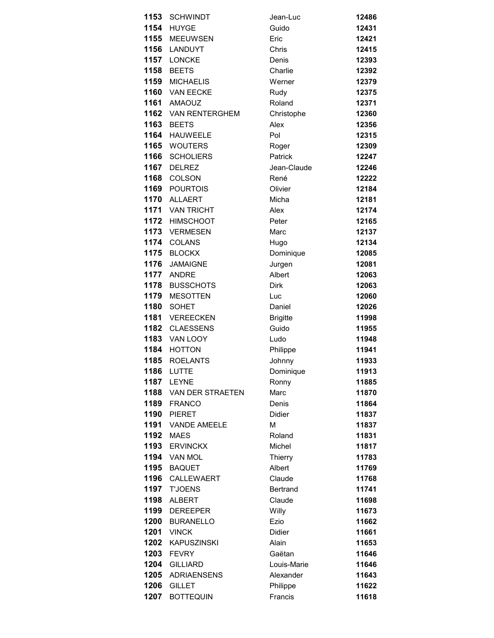| 1153 | <b>SCHWINDT</b>       | Jean-Luc        | 12486 |
|------|-----------------------|-----------------|-------|
| 1154 | <b>HUYGE</b>          | Guido           | 12431 |
| 1155 | <b>MEEUWSEN</b>       | Eric            | 12421 |
| 1156 | LANDUYT               | Chris           | 12415 |
| 1157 | <b>LONCKE</b>         | Denis           | 12393 |
| 1158 | <b>BEETS</b>          | Charlie         | 12392 |
| 1159 | <b>MICHAELIS</b>      | Werner          | 12379 |
| 1160 | <b>VAN EECKE</b>      | Rudy            | 12375 |
| 1161 | <b>AMAOUZ</b>         | Roland          | 12371 |
|      | 1162 VAN RENTERGHEM   | Christophe      | 12360 |
| 1163 | <b>BEETS</b>          | Alex            | 12356 |
| 1164 | <b>HAUWEELE</b>       | Pol             | 12315 |
| 1165 | <b>WOUTERS</b>        | Roger           | 12309 |
| 1166 | <b>SCHOLIERS</b>      | Patrick         | 12247 |
| 1167 | <b>DELREZ</b>         | Jean-Claude     | 12246 |
| 1168 | COLSON                | René            | 12222 |
| 1169 | <b>POURTOIS</b>       | Olivier         | 12184 |
| 1170 | <b>ALLAERT</b>        | Micha           | 12181 |
| 1171 | <b>VAN TRICHT</b>     | Alex            | 12174 |
| 1172 | <b>HIMSCHOOT</b>      | Peter           | 12165 |
| 1173 | <b>VERMESEN</b>       | Marc            | 12137 |
| 1174 | <b>COLANS</b>         | Hugo            | 12134 |
| 1175 | <b>BLOCKX</b>         | Dominique       | 12085 |
| 1176 | <b>JAMAIGNE</b>       | Jurgen          | 12081 |
| 1177 | <b>ANDRE</b>          | Albert          | 12063 |
| 1178 | <b>BUSSCHOTS</b>      | <b>Dirk</b>     | 12063 |
| 1179 | <b>MESOTTEN</b>       | Luc             | 12060 |
| 1180 | <b>SOHET</b>          | Daniel          | 12026 |
| 1181 | <b>VEREECKEN</b>      | <b>Brigitte</b> | 11998 |
| 1182 | <b>CLAESSENS</b>      | Guido           | 11955 |
| 1183 | VAN LOOY              | Ludo            | 11948 |
| 1184 | <b>HOTTON</b>         | Philippe        | 11941 |
| 1185 | <b>ROELANTS</b>       | Johnny          | 11933 |
| 1186 | LUTTE                 | Dominique       | 11913 |
| 1187 | <b>LEYNE</b>          | Ronny           | 11885 |
|      | 1188 VAN DER STRAETEN | Marc            | 11870 |
| 1189 | <b>FRANCO</b>         | Denis           | 11864 |
| 1190 | <b>PIERET</b>         | <b>Didier</b>   | 11837 |
| 1191 | <b>VANDE AMEELE</b>   | М               | 11837 |
| 1192 | <b>MAES</b>           | Roland          | 11831 |
| 1193 | <b>ERVINCKX</b>       | Michel          | 11817 |
| 1194 | <b>VAN MOL</b>        | Thierry         | 11783 |
| 1195 | <b>BAQUET</b>         | Albert          | 11769 |
| 1196 | CALLEWAERT            | Claude          | 11768 |
| 1197 | <b>T'JOENS</b>        | <b>Bertrand</b> | 11741 |
| 1198 | <b>ALBERT</b>         | Claude          | 11698 |
| 1199 | <b>DEREEPER</b>       | Willy           | 11673 |
| 1200 | <b>BURANELLO</b>      | Ezio            | 11662 |
| 1201 | <b>VINCK</b>          | <b>Didier</b>   | 11661 |
| 1202 | <b>KAPUSZINSKI</b>    | Alain           | 11653 |
| 1203 | <b>FEVRY</b>          | Gaëtan          | 11646 |
| 1204 | <b>GILLIARD</b>       | Louis-Marie     | 11646 |
| 1205 | <b>ADRIAENSENS</b>    | Alexander       | 11643 |
| 1206 | <b>GILLET</b>         | Philippe        | 11622 |
| 1207 | <b>BOTTEQUIN</b>      | Francis         | 11618 |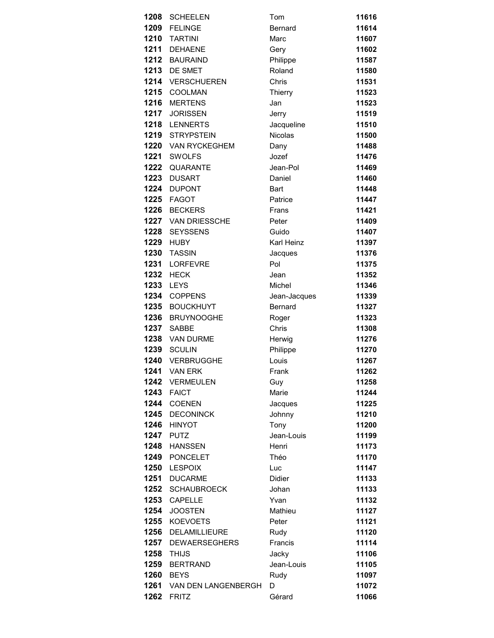| 1208 | <b>SCHEELEN</b>          | Tom          | 11616 |
|------|--------------------------|--------------|-------|
|      | 1209 FELINGE             | Bernard      | 11614 |
| 1210 | <b>TARTINI</b>           | Marc         | 11607 |
| 1211 | <b>DEHAENE</b>           | Gery         | 11602 |
| 1212 | <b>BAURAIND</b>          | Philippe     | 11587 |
| 1213 | DE SMET                  | Roland       | 11580 |
| 1214 | <b>VERSCHUEREN</b>       | Chris        | 11531 |
| 1215 | COOLMAN                  | Thierry      | 11523 |
| 1216 | <b>MERTENS</b>           | Jan          | 11523 |
| 1217 | <b>JORISSEN</b>          | Jerry        | 11519 |
| 1218 | <b>LENNERTS</b>          | Jacqueline   | 11510 |
| 1219 | <b>STRYPSTEIN</b>        | Nicolas      | 11500 |
|      | 1220 VAN RYCKEGHEM       | Dany         | 11488 |
| 1221 | <b>SWOLFS</b>            | Jozef        | 11476 |
| 1222 | <b>QUARANTE</b>          | Jean-Pol     | 11469 |
| 1223 | <b>DUSART</b>            | Daniel       | 11460 |
| 1224 | <b>DUPONT</b>            | Bart         | 11448 |
|      | 1225 FAGOT               | Patrice      | 11447 |
| 1226 | <b>BECKERS</b>           | Frans        | 11421 |
| 1227 | <b>VAN DRIESSCHE</b>     | Peter        | 11409 |
| 1228 | <b>SEYSSENS</b>          | Guido        | 11407 |
|      | 1229 HUBY                | Karl Heinz   | 11397 |
| 1230 | <b>TASSIN</b>            | Jacques      | 11376 |
| 1231 | <b>LORFEVRE</b>          | Pol          | 11375 |
| 1232 | <b>HECK</b>              | Jean         | 11352 |
| 1233 | <b>LEYS</b>              | Michel       | 11346 |
| 1234 | <b>COPPENS</b>           | Jean-Jacques | 11339 |
| 1235 | <b>BOUCKHUYT</b>         | Bernard      | 11327 |
| 1236 | <b>BRUYNOOGHE</b>        | Roger        | 11323 |
| 1237 | <b>SABBE</b>             | Chris        | 11308 |
| 1238 | VAN DURME                | Herwig       | 11276 |
| 1239 | <b>SCULIN</b>            | Philippe     | 11270 |
| 1240 | <b>VERBRUGGHE</b>        | Louis        | 11267 |
|      | <b>1241</b> VAN ERK      | Frank        | 11262 |
|      | 1242 VERMEULEN           | Guy          | 11258 |
|      | <b>1243 FAICT</b>        | Marie        | 11244 |
| 1244 | <b>COENEN</b>            | Jacques      | 11225 |
| 1245 | <b>DECONINCK</b>         | Johnny       | 11210 |
| 1246 | <b>HINYOT</b>            | Tony         | 11200 |
| 1247 | <b>PUTZ</b>              | Jean-Louis   | 11199 |
| 1248 | <b>HANSSEN</b>           | Henri        | 11173 |
| 1249 | <b>PONCELET</b>          | Théo         | 11170 |
| 1250 | <b>LESPOIX</b>           | Luc          | 11147 |
| 1251 | <b>DUCARME</b>           | Didier       | 11133 |
|      | 1252 SCHAUBROECK         | Johan        | 11133 |
| 1253 | <b>CAPELLE</b>           | Yvan         | 11132 |
| 1254 | <b>JOOSTEN</b>           | Mathieu      | 11127 |
| 1255 | <b>KOEVOETS</b>          | Peter        | 11121 |
| 1256 | DELAMILLIEURE            | Rudy         | 11120 |
| 1257 | <b>DEWAERSEGHERS</b>     | Francis      | 11114 |
| 1258 | <b>THIJS</b>             | Jacky        | 11106 |
| 1259 | <b>BERTRAND</b>          | Jean-Louis   | 11105 |
| 1260 | <b>BEYS</b>              | Rudy         | 11097 |
|      | 1261 VAN DEN LANGENBERGH | D            | 11072 |
| 1262 | <b>FRITZ</b>             | Gérard       | 11066 |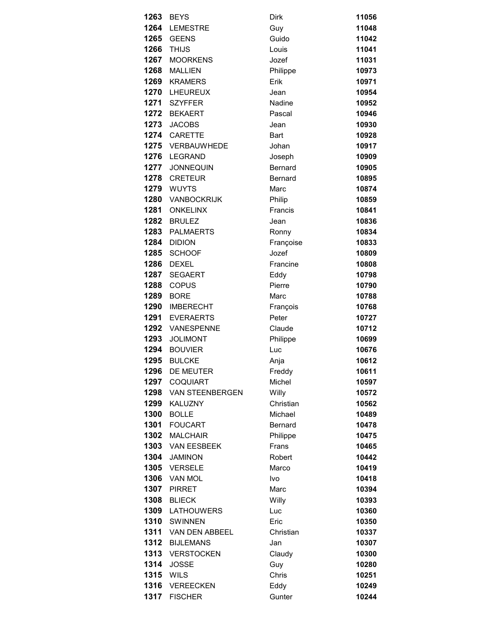| 1263 | <b>BEYS</b>                         | Dirk           | 11056 |
|------|-------------------------------------|----------------|-------|
| 1264 | <b>LEMESTRE</b>                     | Guy            | 11048 |
|      |                                     |                |       |
| 1265 | <b>GEENS</b>                        | Guido          | 11042 |
| 1266 | <b>THIJS</b>                        | Louis          | 11041 |
| 1267 | <b>MOORKENS</b>                     | Jozef          | 11031 |
| 1268 | <b>MALLIEN</b>                      | Philippe       | 10973 |
| 1269 | <b>KRAMERS</b>                      | Erik           | 10971 |
| 1270 | <b>LHEUREUX</b>                     | Jean           | 10954 |
| 1271 | <b>SZYFFER</b>                      | Nadine         | 10952 |
| 1272 | <b>BEKAERT</b>                      | Pascal         | 10946 |
| 1273 | <b>JACOBS</b>                       | Jean           | 10930 |
| 1274 | CARETTE                             | <b>Bart</b>    | 10928 |
|      | 1275 VERBAUWHEDE                    | Johan          | 10917 |
| 1276 | <b>LEGRAND</b>                      | Joseph         | 10909 |
| 1277 | <b>JONNEQUIN</b>                    | Bernard        | 10905 |
| 1278 | <b>CRETEUR</b>                      | Bernard        | 10895 |
| 1279 | <b>WUYTS</b>                        | Marc           | 10874 |
| 1280 | VANBOCKRIJK                         | Philip         | 10859 |
| 1281 | <b>ONKELINX</b>                     | Francis        | 10841 |
| 1282 | <b>BRULEZ</b>                       | Jean           | 10836 |
| 1283 | <b>PALMAERTS</b>                    | Ronny          | 10834 |
| 1284 | <b>DIDION</b>                       | Françoise      | 10833 |
| 1285 | <b>SCHOOF</b>                       | Jozef          | 10809 |
| 1286 | <b>DEXEL</b>                        | Francine       | 10808 |
| 1287 | <b>SEGAERT</b>                      | Eddy           | 10798 |
| 1288 | <b>COPUS</b>                        | Pierre         | 10790 |
| 1289 | <b>BORE</b>                         | Marc           | 10788 |
| 1290 | <b>IMBERECHT</b>                    | François       | 10768 |
| 1291 | <b>EVERAERTS</b>                    | Peter          | 10727 |
| 1292 | <b>VANESPENNE</b>                   | Claude         | 10712 |
| 1293 | <b>JOLIMONT</b>                     | Philippe       | 10699 |
| 1294 | <b>BOUVIER</b>                      | Luc            | 10676 |
| 1295 | <b>BULCKE</b>                       | Anja           | 10612 |
|      | 1296 DE MEUTER                      | Freddy         | 10611 |
|      | 1297 COQUIART                       | Michel         | 10597 |
|      | 1298 VAN STEENBERGEN                | Willy          | 10572 |
| 1299 | <b>KALUZNY</b>                      | Christian      | 10562 |
| 1300 | <b>BOLLE</b>                        | Michael        | 10489 |
| 1301 | <b>FOUCART</b>                      | <b>Bernard</b> | 10478 |
| 1302 | <b>MALCHAIR</b>                     | Philippe       | 10475 |
|      | 1303 VAN EESBEEK                    | Frans          | 10465 |
| 1304 | <b>JAMINON</b>                      | Robert         | 10442 |
|      | 1305 VERSELE                        | Marco          | 10419 |
|      | 1306 VAN MOL                        | Ivo            | 10418 |
|      | 1307 PIRRET                         | Marc           | 10394 |
| 1308 | <b>BLIECK</b>                       | Willy          | 10393 |
| 1309 |                                     |                |       |
| 1310 | <b>LATHOUWERS</b><br><b>SWINNEN</b> | Luc            | 10360 |
|      |                                     | Eric           | 10350 |
|      | 1311 VAN DEN ABBEEL                 | Christian      | 10337 |
| 1312 | <b>BIJLEMANS</b>                    | Jan            | 10307 |
| 1313 | <b>VERSTOCKEN</b>                   | Claudy         | 10300 |
| 1314 | <b>JOSSE</b>                        | Guy            | 10280 |
|      | 1315 WILS                           | Chris          | 10251 |
|      | 1316 VEREECKEN                      | Eddy           | 10249 |
| 1317 | <b>FISCHER</b>                      | Gunter         | 10244 |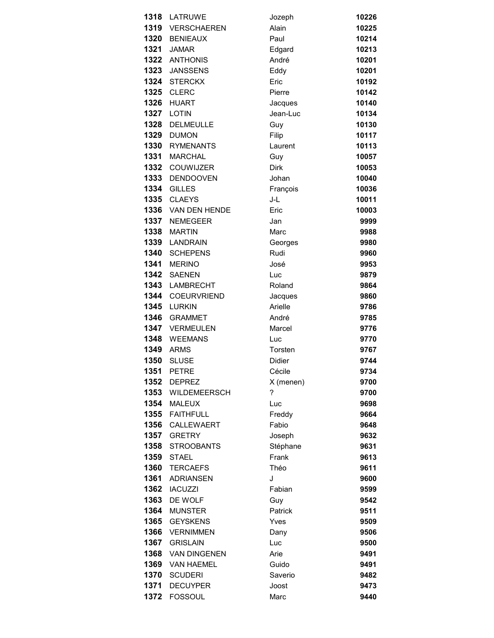|      | 1318 LATRUWE        | Jozeph        | 10226 |
|------|---------------------|---------------|-------|
|      | 1319 VERSCHAEREN    | Alain         | 10225 |
| 1320 | <b>BENIEAUX</b>     | Paul          | 10214 |
| 1321 | <b>JAMAR</b>        | Edgard        | 10213 |
|      | 1322 ANTHONIS       | André         | 10201 |
| 1323 | <b>JANSSENS</b>     | Eddy          | 10201 |
| 1324 | <b>STERCKX</b>      | Eric          | 10192 |
| 1325 | <b>CLERC</b>        | Pierre        | 10142 |
| 1326 | <b>HUART</b>        | Jacques       | 10140 |
| 1327 | LOTIN               | Jean-Luc      | 10134 |
| 1328 | <b>DELMEULLE</b>    | Guy           | 10130 |
| 1329 | <b>DUMON</b>        | Filip         | 10117 |
| 1330 | <b>RYMENANTS</b>    | Laurent       | 10113 |
| 1331 | <b>MARCHAL</b>      | Guy           | 10057 |
| 1332 | COUWIJZER           | <b>Dirk</b>   | 10053 |
| 1333 | <b>DENDOOVEN</b>    | Johan         | 10040 |
| 1334 | <b>GILLES</b>       | François      | 10036 |
| 1335 | <b>CLAEYS</b>       | J-L           | 10011 |
| 1336 | VAN DEN HENDE       | Eric          | 10003 |
| 1337 | <b>NEMEGEER</b>     | Jan           | 9999  |
| 1338 | <b>MARTIN</b>       | Marc          | 9988  |
|      | 1339 LANDRAIN       | Georges       | 9980  |
| 1340 | <b>SCHEPENS</b>     | Rudi          | 9960  |
| 1341 | <b>MERINO</b>       | José          | 9953  |
| 1342 | <b>SAENEN</b>       | Luc           | 9879  |
| 1343 | <b>LAMBRECHT</b>    | Roland        | 9864  |
| 1344 | COEURVRIEND         | Jacques       | 9860  |
| 1345 | <b>LURKIN</b>       | Arielle       | 9786  |
| 1346 | <b>GRAMMET</b>      | André         | 9785  |
| 1347 | VERMEULEN           | Marcel        | 9776  |
|      | 1348 WEEMANS        | Luc           | 9770  |
| 1349 | <b>ARMS</b>         | Torsten       | 9767  |
| 1350 | <b>SLUSE</b>        | <b>Didier</b> | 9744  |
|      | <b>1351 PETRE</b>   | Cécile        | 9734  |
| 1352 | <b>DEPREZ</b>       | X (menen)     | 9700  |
|      | 1353 WILDEMEERSCH   | ?             | 9700  |
| 1354 | <b>MALEUX</b>       | Luc           | 9698  |
| 1355 | <b>FAITHFULL</b>    | Freddy        | 9664  |
| 1356 | CALLEWAERT          | Fabio         | 9648  |
| 1357 | <b>GRETRY</b>       | Joseph        | 9632  |
| 1358 | <b>STROOBANTS</b>   | Stéphane      | 9631  |
| 1359 | <b>STAEL</b>        | Frank         | 9613  |
| 1360 | <b>TERCAEFS</b>     | Théo          | 9611  |
| 1361 | <b>ADRIANSEN</b>    | J             | 9600  |
| 1362 | <b>IACUZZI</b>      | Fabian        | 9599  |
| 1363 | DE WOLF             | Guy           | 9542  |
| 1364 | <b>MUNSTER</b>      | Patrick       | 9511  |
| 1365 | <b>GEYSKENS</b>     | Yves          | 9509  |
| 1366 | <b>VERNIMMEN</b>    | Dany          | 9506  |
| 1367 | <b>GRISLAIN</b>     | Luc           | 9500  |
| 1368 | <b>VAN DINGENEN</b> | Arie          | 9491  |
| 1369 | <b>VAN HAEMEL</b>   | Guido         | 9491  |
| 1370 | <b>SCUDERI</b>      | Saverio       | 9482  |
| 1371 | <b>DECUYPER</b>     | Joost         | 9473  |
| 1372 | <b>FOSSOUL</b>      | Marc          | 9440  |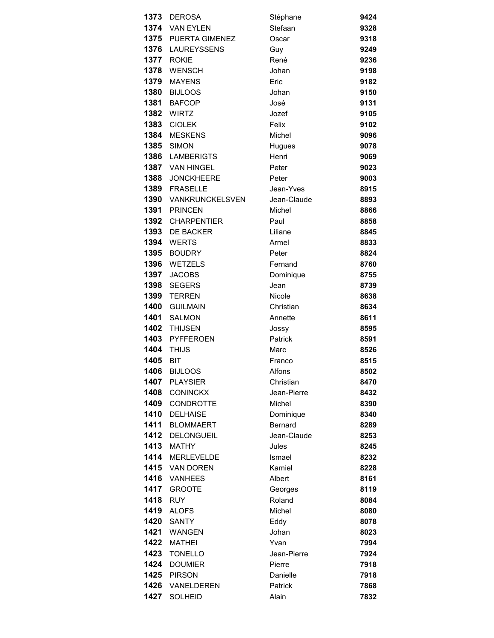| 1373 | <b>DEROSA</b>        | Stéphane       | 9424 |
|------|----------------------|----------------|------|
|      | 1374 VAN EYLEN       | Stefaan        | 9328 |
|      | 1375 PUERTA GIMENEZ  | Oscar          | 9318 |
|      | 1376 LAUREYSSENS     | Guy            | 9249 |
| 1377 | <b>ROKIE</b>         | René           | 9236 |
| 1378 | <b>WENSCH</b>        | Johan          | 9198 |
| 1379 | <b>MAYENS</b>        | Eric           | 9182 |
| 1380 | <b>BIJLOOS</b>       | Johan          | 9150 |
| 1381 | <b>BAFCOP</b>        | José           | 9131 |
| 1382 | WIRTZ                | Jozef          | 9105 |
| 1383 | <b>CIOLEK</b>        | Felix          | 9102 |
| 1384 | <b>MESKENS</b>       | Michel         | 9096 |
| 1385 | <b>SIMON</b>         | Hugues         | 9078 |
| 1386 | LAMBERIGTS           | Henri          | 9069 |
|      | 1387 VAN HINGEL      | Peter          | 9023 |
| 1388 | <b>JONCKHEERE</b>    | Peter          | 9003 |
|      | 1389 FRASELLE        | Jean-Yves      | 8915 |
|      | 1390 VANKRUNCKELSVEN | Jean-Claude    | 8893 |
| 1391 | <b>PRINCEN</b>       | Michel         | 8866 |
| 1392 | <b>CHARPENTIER</b>   | Paul           | 8858 |
| 1393 | DE BACKER            | Liliane        | 8845 |
|      | <b>1394 WERTS</b>    | Armel          | 8833 |
| 1395 | <b>BOUDRY</b>        | Peter          | 8824 |
| 1396 | <b>WETZELS</b>       | Fernand        | 8760 |
| 1397 | <b>JACOBS</b>        | Dominique      | 8755 |
| 1398 | <b>SEGERS</b>        | Jean           | 8739 |
| 1399 | <b>TERREN</b>        | Nicole         | 8638 |
| 1400 | <b>GUILMAIN</b>      | Christian      | 8634 |
| 1401 | <b>SALMON</b>        | Annette        | 8611 |
| 1402 | <b>THIJSEN</b>       | Jossy          | 8595 |
| 1403 | <b>PYFFEROEN</b>     | <b>Patrick</b> | 8591 |
| 1404 | <b>THIJS</b>         | Marc           | 8526 |
| 1405 | <b>BIT</b>           | Franco         | 8515 |
|      | <b>1406 BIJLOOS</b>  | Alfons         | 8502 |
| 1407 | <b>PLAYSIER</b>      | Christian      | 8470 |
| 1408 | <b>CONINCKX</b>      | Jean-Pierre    | 8432 |
| 1409 | <b>CONDROTTE</b>     | Michel         | 8390 |
| 1410 | <b>DELHAISE</b>      | Dominique      | 8340 |
| 1411 | <b>BLOMMAERT</b>     | Bernard        | 8289 |
| 1412 | <b>DELONGUEIL</b>    | Jean-Claude    | 8253 |
| 1413 | <b>MATHY</b>         | Jules          | 8245 |
| 1414 | <b>MERLEVELDE</b>    | Ismael         | 8232 |
| 1415 | <b>VAN DOREN</b>     | Kamiel         | 8228 |
| 1416 | <b>VANHEES</b>       | Albert         | 8161 |
| 1417 | <b>GROOTE</b>        | Georges        | 8119 |
| 1418 | <b>RUY</b>           | Roland         | 8084 |
| 1419 | <b>ALOFS</b>         | Michel         | 8080 |
| 1420 | <b>SANTY</b>         | Eddy           | 8078 |
| 1421 | <b>WANGEN</b>        | Johan          | 8023 |
| 1422 | <b>MATHEI</b>        | Yvan           | 7994 |
| 1423 | <b>TONELLO</b>       | Jean-Pierre    | 7924 |
| 1424 | <b>DOUMIER</b>       | Pierre         | 7918 |
| 1425 | <b>PIRSON</b>        | Danielle       | 7918 |
|      | 1426 VANELDEREN      | Patrick        | 7868 |
| 1427 | <b>SOLHEID</b>       | Alain          | 7832 |
|      |                      |                |      |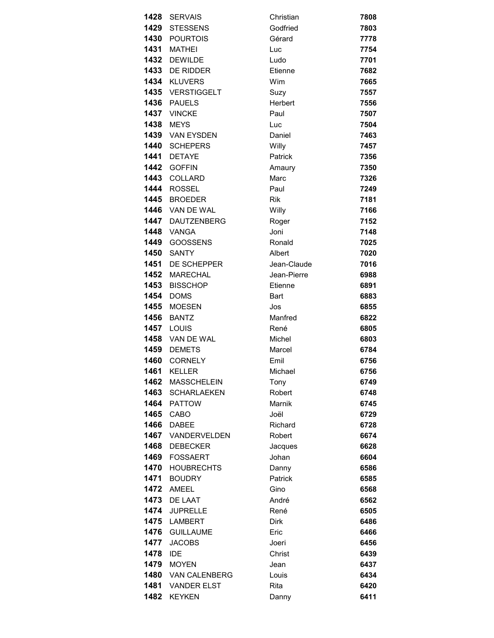| 1428 | <b>SERVAIS</b>     | Christian      | 7808 |
|------|--------------------|----------------|------|
| 1429 | <b>STESSENS</b>    | Godfried       | 7803 |
|      | 1430 POURTOIS      | Gérard         | 7778 |
|      | <b>1431 MATHEI</b> | Luc            | 7754 |
| 1432 | <b>DEWILDE</b>     | Ludo           | 7701 |
| 1433 | <b>DE RIDDER</b>   | Etienne        | 7682 |
| 1434 | <b>KLUVERS</b>     | Wim            | 7665 |
|      | 1435 VERSTIGGELT   | Suzy           | 7557 |
| 1436 | <b>PAUELS</b>      | Herbert        | 7556 |
| 1437 | <b>VINCKE</b>      | Paul           | 7507 |
| 1438 | <b>MEYS</b>        | Luc            | 7504 |
|      | 1439 VAN EYSDEN    | Daniel         | 7463 |
|      | 1440 SCHEPERS      | Willy          | 7457 |
| 1441 | <b>DETAYE</b>      | <b>Patrick</b> | 7356 |
| 1442 | <b>GOFFIN</b>      | Amaury         | 7350 |
| 1443 | <b>COLLARD</b>     | Marc           | 7326 |
| 1444 | <b>ROSSEL</b>      | Paul           | 7249 |
| 1445 | <b>BROEDER</b>     | <b>Rik</b>     | 7181 |
|      | 1446 VAN DE WAL    | Willy          | 7166 |
| 1447 | <b>DAUTZENBERG</b> | Roger          | 7152 |
|      | <b>1448</b> VANGA  | Joni           | 7148 |
| 1449 | <b>GOOSSENS</b>    | Ronald         | 7025 |
| 1450 | <b>SANTY</b>       | Albert         | 7020 |
| 1451 | DE SCHEPPER        | Jean-Claude    | 7016 |
| 1452 | <b>MARECHAL</b>    | Jean-Pierre    | 6988 |
| 1453 | <b>BISSCHOP</b>    | Etienne        | 6891 |
| 1454 | <b>DOMS</b>        | <b>Bart</b>    | 6883 |
| 1455 | <b>MOESEN</b>      | Jos            | 6855 |
| 1456 | <b>BANTZ</b>       | Manfred        | 6822 |
|      | <b>1457 LOUIS</b>  | René           | 6805 |
|      | 1458 VAN DE WAL    | Michel         | 6803 |
| 1459 | <b>DEMETS</b>      | Marcel         | 6784 |
| 1460 | <b>CORNELY</b>     | Emil           | 6756 |
|      | <b>1461 KELLER</b> | Michael        | 6756 |
| 1462 | <b>MASSCHELEIN</b> | Tony           | 6749 |
| 1463 | <b>SCHARLAEKEN</b> | Robert         | 6748 |
| 1464 | <b>PATTOW</b>      | Marnik         | 6745 |
| 1465 | CABO               | Joël           | 6729 |
| 1466 | <b>DABEE</b>       | Richard        | 6728 |
| 1467 | VANDERVELDEN       | Robert         | 6674 |
| 1468 | <b>DEBECKER</b>    | Jacques        | 6628 |
| 1469 | <b>FOSSAERT</b>    | Johan          | 6604 |
| 1470 | <b>HOUBRECHTS</b>  | Danny          | 6586 |
| 1471 | <b>BOUDRY</b>      | Patrick        | 6585 |
| 1472 | AMEEL              | Gino           | 6568 |
| 1473 | DE LAAT            | André          | 6562 |
| 1474 | <b>JUPRELLE</b>    | René           | 6505 |
| 1475 | <b>LAMBERT</b>     | <b>Dirk</b>    | 6486 |
| 1476 | <b>GUILLAUME</b>   | Eric           | 6466 |
| 1477 | <b>JACOBS</b>      | Joeri          | 6456 |
| 1478 | <b>IDE</b>         | Christ         | 6439 |
| 1479 | <b>MOYEN</b>       | Jean           | 6437 |
| 1480 | VAN CALENBERG      | Louis          | 6434 |
| 1481 | <b>VANDER ELST</b> | Rita           | 6420 |
| 1482 | <b>KEYKEN</b>      | Danny          | 6411 |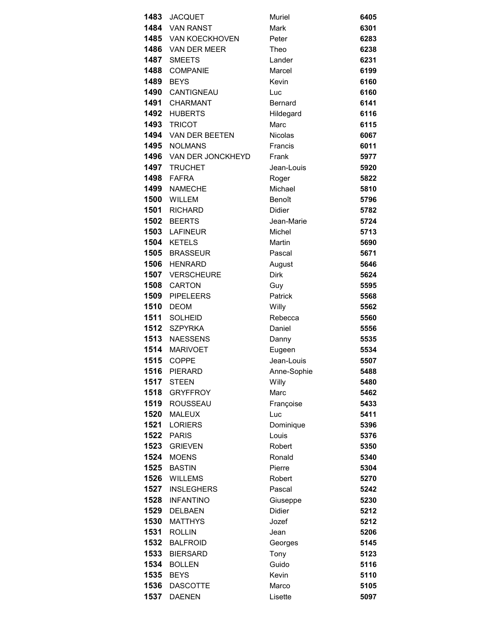| 1483 | <b>JACQUET</b>      | Muriel         | 6405 |
|------|---------------------|----------------|------|
|      | 1484 VAN RANST      | Mark           | 6301 |
|      | 1485 VAN KOECKHOVEN | Peter          | 6283 |
|      | 1486 VAN DER MEER   | Theo           | 6238 |
| 1487 | <b>SMEETS</b>       | Lander         | 6231 |
| 1488 | <b>COMPANIE</b>     | Marcel         | 6199 |
| 1489 | <b>BEYS</b>         | Kevin          | 6160 |
| 1490 | <b>CANTIGNEAU</b>   | Luc            | 6160 |
|      | 1491 CHARMANT       | <b>Bernard</b> | 6141 |
| 1492 | <b>HUBERTS</b>      | Hildegard      | 6116 |
| 1493 | <b>TRICOT</b>       | Marc           | 6115 |
|      | 1494 VAN DER BEETEN | <b>Nicolas</b> | 6067 |
| 1495 | <b>NOLMANS</b>      | Francis        | 6011 |
| 1496 | VAN DER JONCKHEYD   | Frank          | 5977 |
| 1497 | <b>TRUCHET</b>      | Jean-Louis     | 5920 |
| 1498 | <b>FAFRA</b>        | Roger          | 5822 |
| 1499 | <b>NAMECHE</b>      | Michael        | 5810 |
| 1500 | WILLEM              | Benoît         | 5796 |
| 1501 | RICHARD             | <b>Didier</b>  | 5782 |
| 1502 | <b>BEERTS</b>       | Jean-Marie     | 5724 |
|      | 1503 LAFINEUR       | Michel         | 5713 |
|      | 1504 KETELS         | <b>Martin</b>  | 5690 |
| 1505 | <b>BRASSEUR</b>     | Pascal         | 5671 |
| 1506 | <b>HENRARD</b>      | August         | 5646 |
| 1507 | <b>VERSCHEURE</b>   | Dirk           | 5624 |
| 1508 | <b>CARTON</b>       | Guy            | 5595 |
|      | 1509 PIPELEERS      | Patrick        | 5568 |
| 1510 | <b>DEOM</b>         | Willy          | 5562 |
| 1511 | <b>SOLHEID</b>      | Rebecca        | 5560 |
| 1512 | <b>SZPYRKA</b>      | Daniel         | 5556 |
|      | 1513 NAESSENS       | Danny          | 5535 |
| 1514 | <b>MARIVOET</b>     | Eugeen         | 5534 |
| 1515 | COPPE               | Jean-Louis     | 5507 |
|      | <b>1516 PIERARD</b> | Anne-Sophie    | 5488 |
| 1517 | <b>STEEN</b>        | Willy          | 5480 |
| 1518 | <b>GRYFFROY</b>     | Marc           | 5462 |
| 1519 | <b>ROUSSEAU</b>     | Françoise      | 5433 |
| 1520 | <b>MALEUX</b>       | Luc            | 5411 |
| 1521 | <b>LORIERS</b>      | Dominique      | 5396 |
| 1522 | <b>PARIS</b>        | Louis          | 5376 |
| 1523 | <b>GRIEVEN</b>      | Robert         | 5350 |
| 1524 | <b>MOENS</b>        | Ronald         | 5340 |
| 1525 | <b>BASTIN</b>       | Pierre         | 5304 |
| 1526 | <b>WILLEMS</b>      | Robert         | 5270 |
| 1527 | <b>INSLEGHERS</b>   | Pascal         | 5242 |
| 1528 | <b>INFANTINO</b>    | Giuseppe       | 5230 |
| 1529 | DELBAEN             | <b>Didier</b>  | 5212 |
| 1530 | <b>MATTHYS</b>      | Jozef          | 5212 |
| 1531 | <b>ROLLIN</b>       | Jean           | 5206 |
| 1532 | <b>BALFROID</b>     | Georges        | 5145 |
| 1533 | <b>BIERSARD</b>     | Tony           | 5123 |
| 1534 | <b>BOLLEN</b>       | Guido          | 5116 |
| 1535 | <b>BEYS</b>         | Kevin          | 5110 |
| 1536 | <b>DASCOTTE</b>     | Marco          | 5105 |
| 1537 | <b>DAENEN</b>       | Lisette        | 5097 |